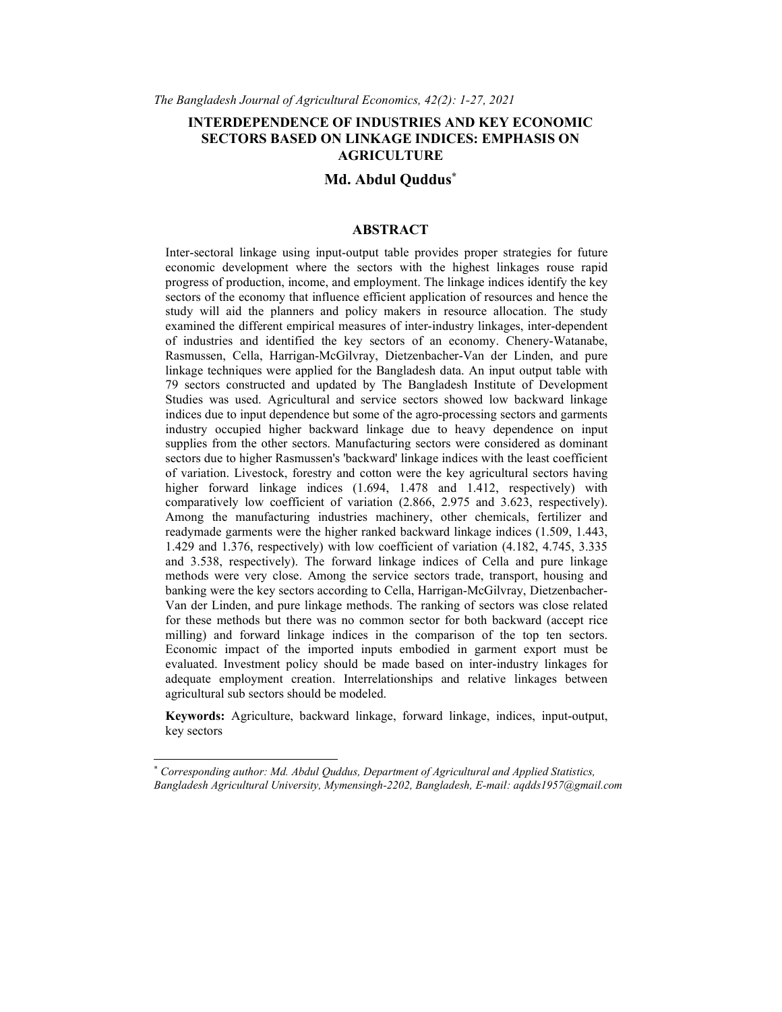# INTERDEPENDENCE OF INDUSTRIES AND KEY ECONOMIC SECTORS BASED ON LINKAGE INDICES: EMPHASIS ON AGRICULTURE

### Md. Abdul Quddus\*

#### ABSTRACT

Inter-sectoral linkage using input-output table provides proper strategies for future economic development where the sectors with the highest linkages rouse rapid progress of production, income, and employment. The linkage indices identify the key sectors of the economy that influence efficient application of resources and hence the study will aid the planners and policy makers in resource allocation. The study examined the different empirical measures of inter-industry linkages, inter-dependent of industries and identified the key sectors of an economy. Chenery-Watanabe, Rasmussen, Cella, Harrigan-McGilvray, Dietzenbacher-Van der Linden, and pure linkage techniques were applied for the Bangladesh data. An input output table with 79 sectors constructed and updated by The Bangladesh Institute of Development Studies was used. Agricultural and service sectors showed low backward linkage indices due to input dependence but some of the agro-processing sectors and garments industry occupied higher backward linkage due to heavy dependence on input supplies from the other sectors. Manufacturing sectors were considered as dominant sectors due to higher Rasmussen's 'backward' linkage indices with the least coefficient of variation. Livestock, forestry and cotton were the key agricultural sectors having higher forward linkage indices (1.694, 1.478 and 1.412, respectively) with comparatively low coefficient of variation (2.866, 2.975 and 3.623, respectively). Among the manufacturing industries machinery, other chemicals, fertilizer and readymade garments were the higher ranked backward linkage indices (1.509, 1.443, 1.429 and 1.376, respectively) with low coefficient of variation (4.182, 4.745, 3.335 and 3.538, respectively). The forward linkage indices of Cella and pure linkage methods were very close. Among the service sectors trade, transport, housing and banking were the key sectors according to Cella, Harrigan-McGilvray, Dietzenbacher-Van der Linden, and pure linkage methods. The ranking of sectors was close related for these methods but there was no common sector for both backward (accept rice milling) and forward linkage indices in the comparison of the top ten sectors. Economic impact of the imported inputs embodied in garment export must be evaluated. Investment policy should be made based on inter-industry linkages for adequate employment creation. Interrelationships and relative linkages between agricultural sub sectors should be modeled.

Keywords: Agriculture, backward linkage, forward linkage, indices, input-output, key sectors

Corresponding author: Md. Abdul Quddus, Department of Agricultural and Applied Statistics, Bangladesh Agricultural University, Mymensingh-2202, Bangladesh, E-mail: aqdds1957@gmail.com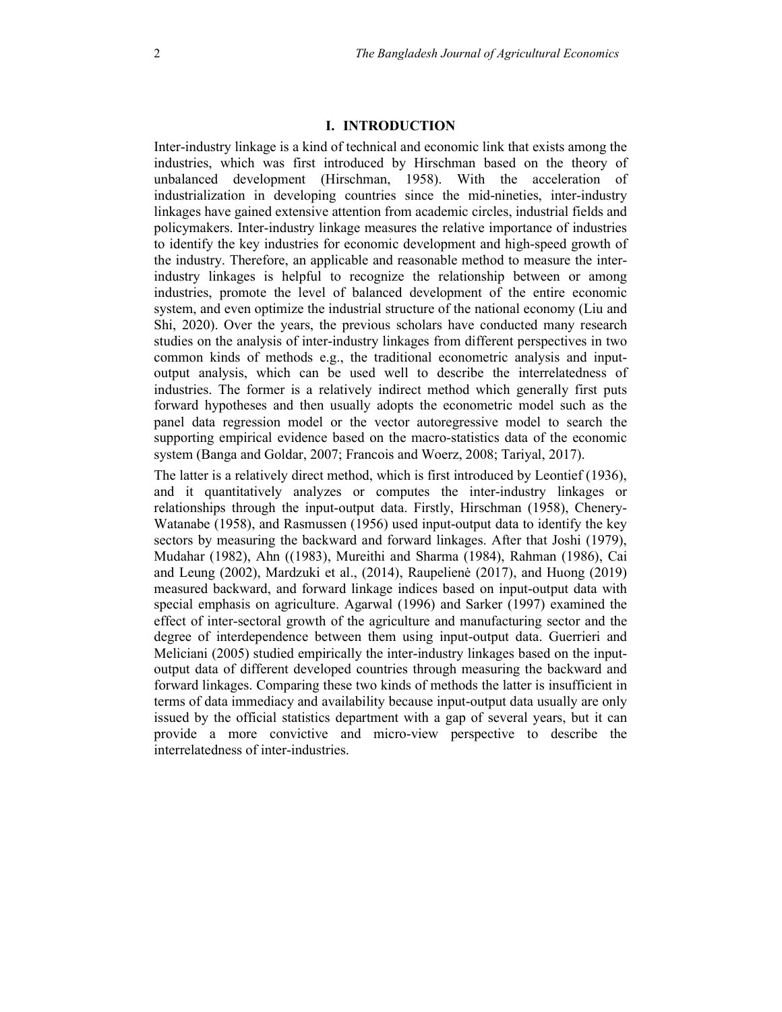# I. INTRODUCTION

Inter-industry linkage is a kind of technical and economic link that exists among the industries, which was first introduced by Hirschman based on the theory of unbalanced development (Hirschman, 1958). With the acceleration of industrialization in developing countries since the mid-nineties, inter-industry linkages have gained extensive attention from academic circles, industrial fields and policymakers. Inter-industry linkage measures the relative importance of industries to identify the key industries for economic development and high-speed growth of the industry. Therefore, an applicable and reasonable method to measure the interindustry linkages is helpful to recognize the relationship between or among industries, promote the level of balanced development of the entire economic system, and even optimize the industrial structure of the national economy (Liu and Shi, 2020). Over the years, the previous scholars have conducted many research studies on the analysis of inter-industry linkages from different perspectives in two common kinds of methods e.g., the traditional econometric analysis and inputoutput analysis, which can be used well to describe the interrelatedness of industries. The former is a relatively indirect method which generally first puts forward hypotheses and then usually adopts the econometric model such as the panel data regression model or the vector autoregressive model to search the supporting empirical evidence based on the macro-statistics data of the economic system (Banga and Goldar, 2007; Francois and Woerz, 2008; Tariyal, 2017).

The latter is a relatively direct method, which is first introduced by Leontief (1936), and it quantitatively analyzes or computes the inter-industry linkages or relationships through the input-output data. Firstly, Hirschman (1958), Chenery-Watanabe (1958), and Rasmussen (1956) used input-output data to identify the key sectors by measuring the backward and forward linkages. After that Joshi (1979), Mudahar (1982), Ahn ((1983), Mureithi and Sharma (1984), Rahman (1986), Cai and Leung (2002), Mardzuki et al., (2014), Raupelienė (2017), and Huong (2019) measured backward, and forward linkage indices based on input-output data with special emphasis on agriculture. Agarwal (1996) and Sarker (1997) examined the effect of inter-sectoral growth of the agriculture and manufacturing sector and the degree of interdependence between them using input-output data. Guerrieri and Meliciani (2005) studied empirically the inter-industry linkages based on the inputoutput data of different developed countries through measuring the backward and forward linkages. Comparing these two kinds of methods the latter is insufficient in terms of data immediacy and availability because input-output data usually are only issued by the official statistics department with a gap of several years, but it can provide a more convictive and micro-view perspective to describe the interrelatedness of inter-industries.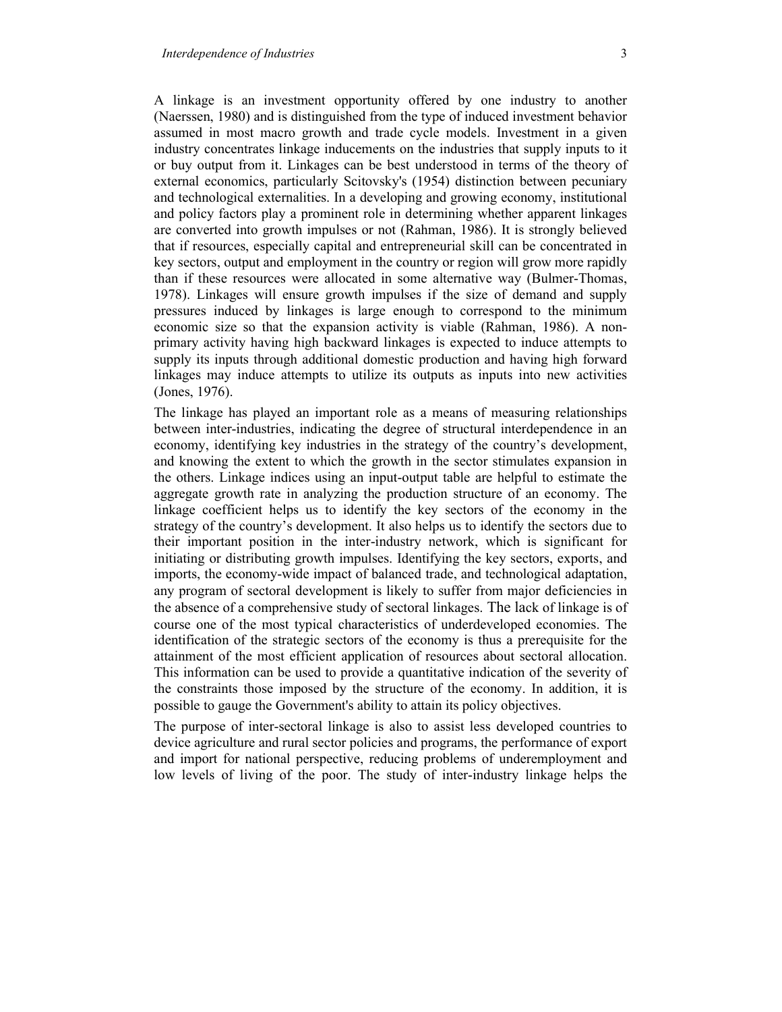A linkage is an investment opportunity offered by one industry to another (Naerssen, 1980) and is distinguished from the type of induced investment behavior assumed in most macro growth and trade cycle models. Investment in a given industry concentrates linkage inducements on the industries that supply inputs to it or buy output from it. Linkages can be best understood in terms of the theory of external economics, particularly Scitovsky's (1954) distinction between pecuniary and technological externalities. In a developing and growing economy, institutional and policy factors play a prominent role in determining whether apparent linkages are converted into growth impulses or not (Rahman, 1986). It is strongly believed that if resources, especially capital and entrepreneurial skill can be concentrated in key sectors, output and employment in the country or region will grow more rapidly than if these resources were allocated in some alternative way (Bulmer-Thomas, 1978). Linkages will ensure growth impulses if the size of demand and supply pressures induced by linkages is large enough to correspond to the minimum economic size so that the expansion activity is viable (Rahman, 1986). A nonprimary activity having high backward linkages is expected to induce attempts to supply its inputs through additional domestic production and having high forward linkages may induce attempts to utilize its outputs as inputs into new activities (Jones, 1976).

The linkage has played an important role as a means of measuring relationships between inter-industries, indicating the degree of structural interdependence in an economy, identifying key industries in the strategy of the country's development, and knowing the extent to which the growth in the sector stimulates expansion in the others. Linkage indices using an input-output table are helpful to estimate the aggregate growth rate in analyzing the production structure of an economy. The linkage coefficient helps us to identify the key sectors of the economy in the strategy of the country's development. It also helps us to identify the sectors due to their important position in the inter-industry network, which is significant for initiating or distributing growth impulses. Identifying the key sectors, exports, and imports, the economy-wide impact of balanced trade, and technological adaptation, any program of sectoral development is likely to suffer from major deficiencies in the absence of a comprehensive study of sectoral linkages. The lack of linkage is of course one of the most typical characteristics of underdeveloped economies. The identification of the strategic sectors of the economy is thus a prerequisite for the attainment of the most efficient application of resources about sectoral allocation. This information can be used to provide a quantitative indication of the severity of the constraints those imposed by the structure of the economy. In addition, it is possible to gauge the Government's ability to attain its policy objectives.

The purpose of inter-sectoral linkage is also to assist less developed countries to device agriculture and rural sector policies and programs, the performance of export and import for national perspective, reducing problems of underemployment and low levels of living of the poor. The study of inter-industry linkage helps the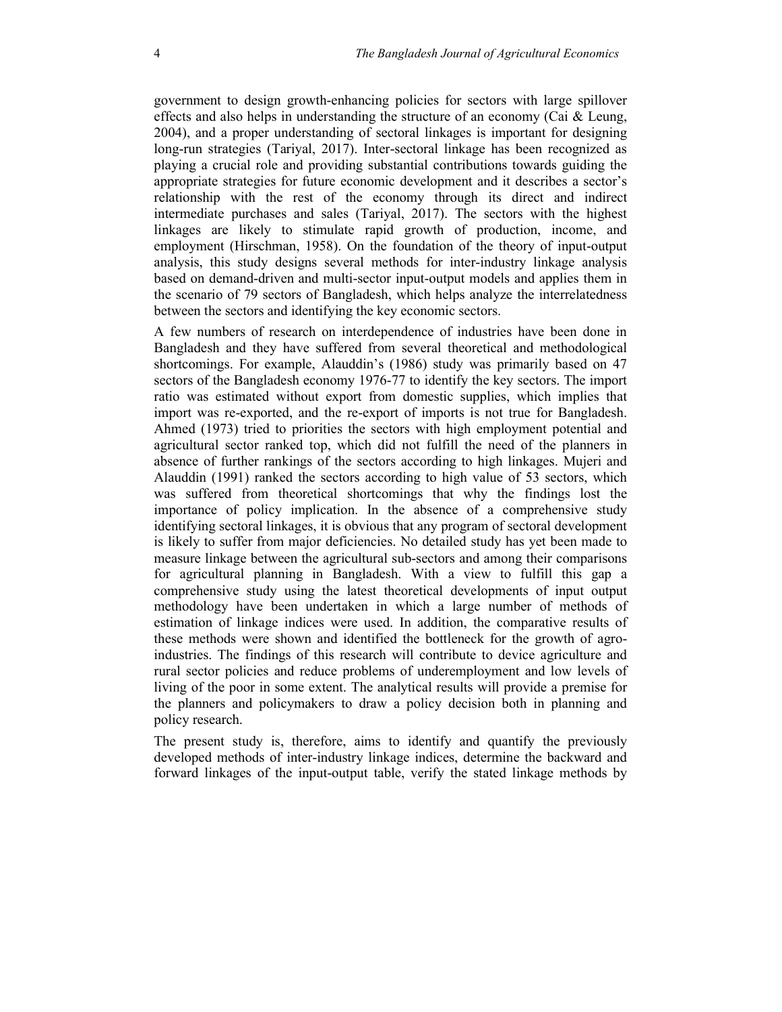government to design growth-enhancing policies for sectors with large spillover effects and also helps in understanding the structure of an economy (Cai & Leung, 2004), and a proper understanding of sectoral linkages is important for designing long-run strategies (Tariyal, 2017). Inter-sectoral linkage has been recognized as playing a crucial role and providing substantial contributions towards guiding the appropriate strategies for future economic development and it describes a sector's relationship with the rest of the economy through its direct and indirect intermediate purchases and sales (Tariyal, 2017). The sectors with the highest linkages are likely to stimulate rapid growth of production, income, and employment (Hirschman, 1958). On the foundation of the theory of input-output analysis, this study designs several methods for inter-industry linkage analysis based on demand-driven and multi-sector input-output models and applies them in the scenario of 79 sectors of Bangladesh, which helps analyze the interrelatedness between the sectors and identifying the key economic sectors.

A few numbers of research on interdependence of industries have been done in Bangladesh and they have suffered from several theoretical and methodological shortcomings. For example, Alauddin's (1986) study was primarily based on 47 sectors of the Bangladesh economy 1976-77 to identify the key sectors. The import ratio was estimated without export from domestic supplies, which implies that import was re-exported, and the re-export of imports is not true for Bangladesh. Ahmed (1973) tried to priorities the sectors with high employment potential and agricultural sector ranked top, which did not fulfill the need of the planners in absence of further rankings of the sectors according to high linkages. Mujeri and Alauddin (1991) ranked the sectors according to high value of 53 sectors, which was suffered from theoretical shortcomings that why the findings lost the importance of policy implication. In the absence of a comprehensive study identifying sectoral linkages, it is obvious that any program of sectoral development is likely to suffer from major deficiencies. No detailed study has yet been made to measure linkage between the agricultural sub-sectors and among their comparisons for agricultural planning in Bangladesh. With a view to fulfill this gap a comprehensive study using the latest theoretical developments of input output methodology have been undertaken in which a large number of methods of estimation of linkage indices were used. In addition, the comparative results of these methods were shown and identified the bottleneck for the growth of agroindustries. The findings of this research will contribute to device agriculture and rural sector policies and reduce problems of underemployment and low levels of living of the poor in some extent. The analytical results will provide a premise for the planners and policymakers to draw a policy decision both in planning and policy research.

The present study is, therefore, aims to identify and quantify the previously developed methods of inter-industry linkage indices, determine the backward and forward linkages of the input-output table, verify the stated linkage methods by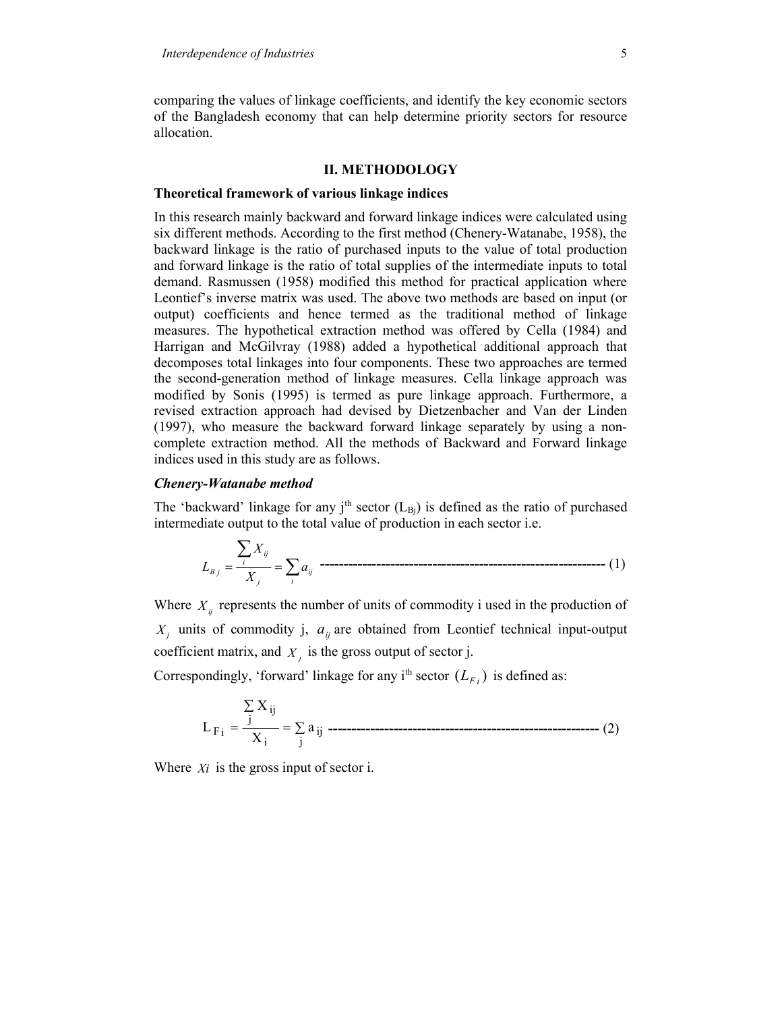comparing the values of linkage coefficients, and identify the key economic sectors of the Bangladesh economy that can help determine priority sectors for resource allocation.

### II. METHODOLOGY

#### Theoretical framework of various linkage indices

In this research mainly backward and forward linkage indices were calculated using six different methods. According to the first method (Chenery-Watanabe, 1958), the backward linkage is the ratio of purchased inputs to the value of total production and forward linkage is the ratio of total supplies of the intermediate inputs to total demand. Rasmussen (1958) modified this method for practical application where Leontief's inverse matrix was used. The above two methods are based on input (or output) coefficients and hence termed as the traditional method of linkage measures. The hypothetical extraction method was offered by Cella (1984) and Harrigan and McGilvray (1988) added a hypothetical additional approach that decomposes total linkages into four components. These two approaches are termed the second-generation method of linkage measures. Cella linkage approach was modified by Sonis (1995) is termed as pure linkage approach. Furthermore, a revised extraction approach had devised by Dietzenbacher and Van der Linden (1997), who measure the backward forward linkage separately by using a noncomplete extraction method. All the methods of Backward and Forward linkage indices used in this study are as follows.

### Chenery-Watanabe method

The 'backward' linkage for any j<sup>th</sup> sector  $(L_{\text{B}})$  is defined as the ratio of purchased intermediate output to the total value of production in each sector i.e.

$$
L_{B_j} = \frac{\sum_i X_{ij}}{X_j} = \sum_i a_{ij}
$$

Where  $X_{ij}$  represents the number of units of commodity i used in the production of  $X_j$  units of commodity j,  $a_{ij}$  are obtained from Leontief technical input-output coefficient matrix, and  $X_i$  is the gross output of sector j.

Correspondingly, 'forward' linkage for any i<sup>th</sup> sector  $(L_{F_i})$  is defined as:

$$
L_{\text{F}_i} = \frac{\sum_{j} X_{ij}}{X_i} = \sum_{j} a_{ij}
$$
 \n------------------\n
$$
L_{\text{F}_i} = \frac{\sum_{j} X_{ij}}{X_i} = \sum_{j} a_{ij}
$$

Where  $Xi$  is the gross input of sector i.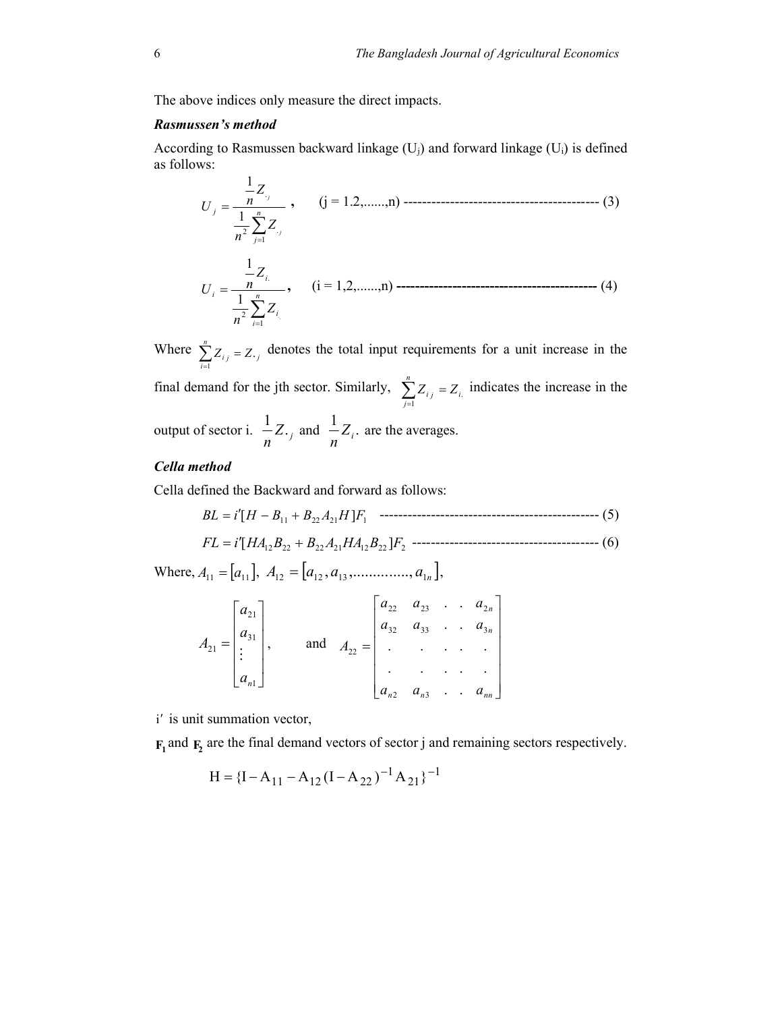The above indices only measure the direct impacts.

# Rasmussen's method

According to Rasmussen backward linkage  $(U_i)$  and forward linkage  $(U_i)$  is defined as follows:

 <sup>n</sup> j j j Z n Z n U 1 2 . . 1 1 , (j = 1.2,......,n) ------------------------------------------ (3) <sup>n</sup> i i i i Z n Z n U 1 2 . 1 1 , (i = 1,2,......,n) ------------------------------------------- (4)

Where  $\sum_{i=1}^{n} Z_{i} = Z_{\cdot j}$ n  $\sum_{i=1}^{n} Z_{i,j} = Z.$  denotes the total input requirements for a unit increase in the final demand for the jth sector. Similarly,  $\sum_{j=1}^{n} Z_{ij} = Z_{i}$ . n  $\sum_{j=1} Z_{ij} = Z_{ij}$  indicates the increase in the output of sector i.  $\frac{1}{n}Z_{\cdot j}$  $\frac{1}{n}Z_{\cdot j}$  and  $\frac{1}{n}Z_i$ . are the averages.

# Cella method

Cella defined the Backward and forward as follows:

<sup>11</sup> <sup>22</sup> <sup>21</sup> <sup>1</sup> BL i[H B B A H ]F ----------------------------------------------- (5) <sup>12</sup> <sup>22</sup> <sup>22</sup> <sup>21</sup> <sup>12</sup> <sup>22</sup> <sup>2</sup> FL i[HA B B A HA B ]F ---------------------------------------- (6)

Where,  $A_{11} = [a_{11}], A_{12} = [a_{12}, a_{13}, \dots, a_{1n}],$ 

$$
A_{21} = \begin{bmatrix} a_{21} \\ a_{31} \\ \vdots \\ a_{n1} \end{bmatrix}, \quad \text{and} \quad A_{22} = \begin{bmatrix} a_{22} & a_{23} & \cdots & a_{2n} \\ a_{32} & a_{33} & \cdots & a_{3n} \\ \vdots & \vdots & \ddots & \vdots \\ a_{n2} & a_{n3} & \cdots & a_{nn} \end{bmatrix}
$$

i' is unit summation vector,

 $F_1$  and  $F_2$  are the final demand vectors of sector j and remaining sectors respectively.

$$
H = \{I - A_{11} - A_{12}(I - A_{22})^{-1}A_{21}\}^{-1}
$$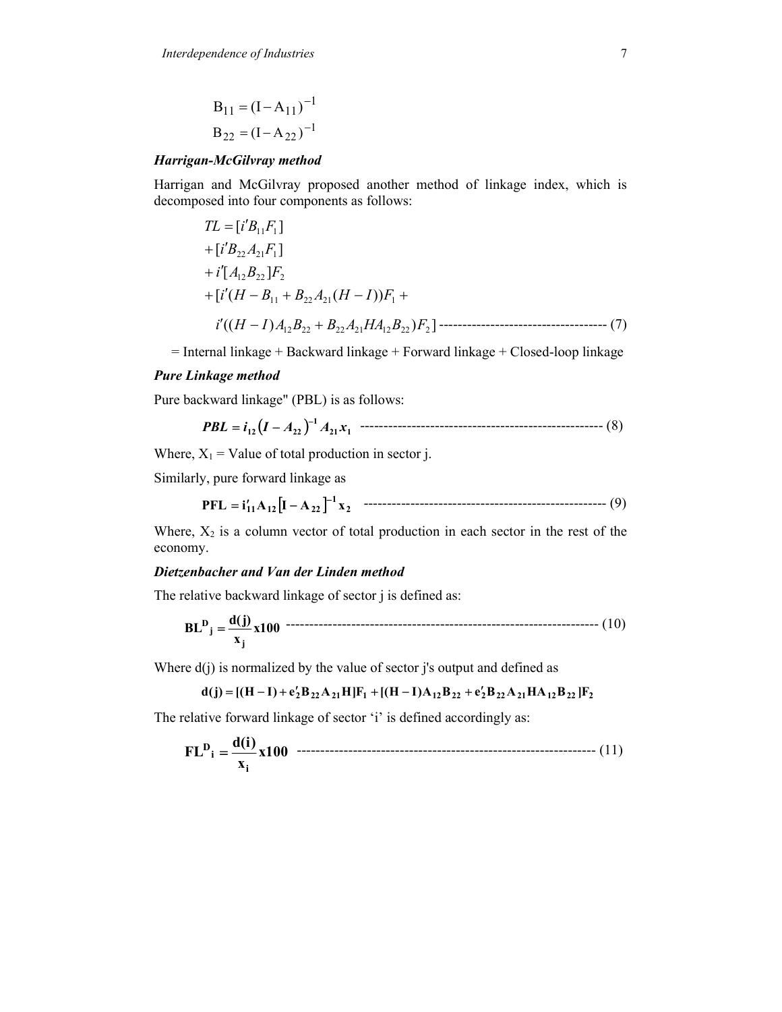$$
B_{11} = (I - A_{11})^{-1}
$$
  

$$
B_{22} = (I - A_{22})^{-1}
$$

# Harrigan-McGilvray method

Harrigan and McGilvray proposed another method of linkage index, which is decomposed into four components as follows:

$$
TL = [i'B_{11}F_1]
$$
  
+  $[i'B_{22}A_{21}F_1]$   
+  $i'[A_{12}B_{22}]F_2$   
+  $[i'(H - B_{11} + B_{22}A_{21}(H - I))F_1 +$   
 $i'((H - I)A_{12}B_{22} + B_{22}A_{21}HA_{12}B_{22})F_2]$ ----- (7)

 $=$  Internal linkage + Backward linkage + Forward linkage + Closed-loop linkage

# Pure Linkage method

Pure backward linkage" (PBL) is as follows:

 <sup>21</sup> <sup>1</sup> <sup>1</sup> PBL i<sup>12</sup> I A<sup>22</sup> A x ---------------------------------------------------- (8)

Where,  $X_1$  = Value of total production in sector j.

Similarly, pure forward linkage as

$$
PFL = i'_{11}A_{12}[I - A_{22}]^{-1}x_2
$$
 \n
$$
T = \frac{1}{2}i'' + 1
$$

Where,  $X_2$  is a column vector of total production in each sector in the rest of the economy.

# Dietzenbacher and Van der Linden method

The relative backward linkage of sector j is defined as:

$$
BLDj = \frac{d(j)}{x_j} x100
$$

Where  $d(i)$  is normalized by the value of sector j's output and defined as

$$
d(j) = [(H - I) + e'_2 B_{22} A_{21} H]F_1 + [(H - I)A_{12} B_{22} + e'_2 B_{22} A_{21} H A_{12} B_{22} ]F_2
$$

The relative forward linkage of sector 'i' is defined accordingly as:

FL<sup>D</sup><sub>i</sub> = 
$$
\frac{d(i)}{x_i}x100
$$
 100 111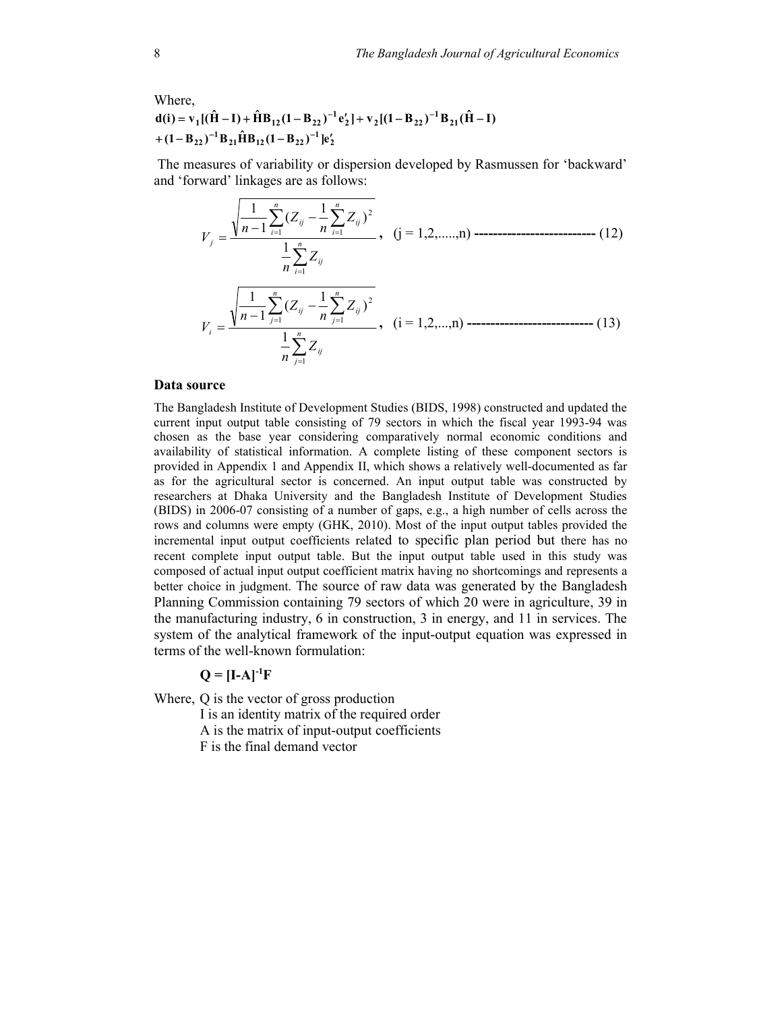Where,  
\n
$$
d(i) = v_1[(\hat{H} - I) + \hat{H}B_{12}(1 - B_{22})^{-1}e'_2] + v_2[(1 - B_{22})^{-1}B_{21}(\hat{H} - I) + (1 - B_{22})^{-1}B_{21}\hat{H}B_{12}(1 - B_{22})^{-1}]e'_2
$$

 The measures of variability or dispersion developed by Rasmussen for 'backward' and 'forward' linkages are as follows:

$$
V_{j} = \frac{\sqrt{\frac{1}{n-1} \sum_{i=1}^{n} (Z_{ij} - \frac{1}{n} \sum_{i=1}^{n} Z_{ij})^{2}}}{\frac{1}{n} \sum_{i=1}^{n} Z_{ij}}, \quad (j = 1, 2, \dots, n) \dots (12)
$$
\n
$$
V_{i} = \frac{\sqrt{\frac{1}{n-1} \sum_{j=1}^{n} (Z_{ij} - \frac{1}{n} \sum_{j=1}^{n} Z_{ij})^{2}}}{\frac{1}{n} \sum_{j=1}^{n} Z_{ij}}, \quad (i = 1, 2, \dots, n) \dots (13)
$$

#### Data source

The Bangladesh Institute of Development Studies (BIDS, 1998) constructed and updated the current input output table consisting of 79 sectors in which the fiscal year 1993-94 was chosen as the base year considering comparatively normal economic conditions and availability of statistical information. A complete listing of these component sectors is provided in Appendix 1 and Appendix II, which shows a relatively well-documented as far as for the agricultural sector is concerned. An input output table was constructed by researchers at Dhaka University and the Bangladesh Institute of Development Studies (BIDS) in 2006-07 consisting of a number of gaps, e.g., a high number of cells across the rows and columns were empty (GHK, 2010). Most of the input output tables provided the incremental input output coefficients related to specific plan period but there has no recent complete input output table. But the input output table used in this study was composed of actual input output coefficient matrix having no shortcomings and represents a better choice in judgment. The source of raw data was generated by the Bangladesh Planning Commission containing 79 sectors of which 20 were in agriculture, 39 in the manufacturing industry, 6 in construction, 3 in energy, and 11 in services. The system of the analytical framework of the input-output equation was expressed in terms of the well-known formulation:

# $Q = [I-A]$ <sup>-1</sup>F

Where, Q is the vector of gross production I is an identity matrix of the required order A is the matrix of input-output coefficients F is the final demand vector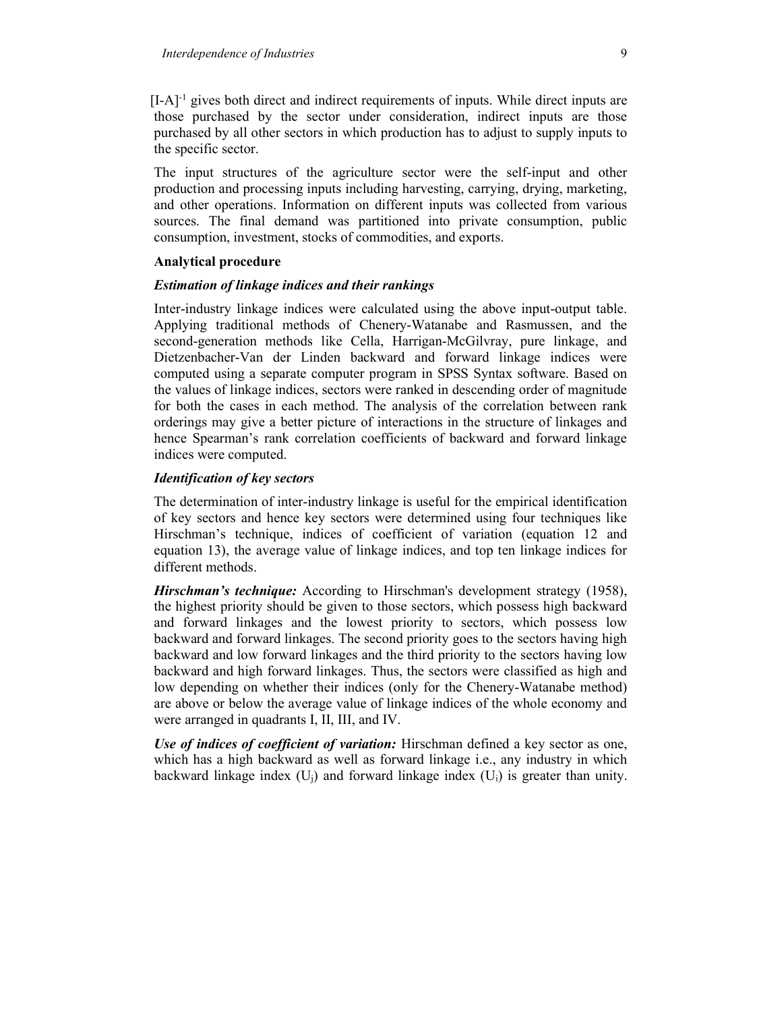$[I-A]$ <sup>-1</sup> gives both direct and indirect requirements of inputs. While direct inputs are those purchased by the sector under consideration, indirect inputs are those purchased by all other sectors in which production has to adjust to supply inputs to the specific sector.

The input structures of the agriculture sector were the self-input and other production and processing inputs including harvesting, carrying, drying, marketing, and other operations. Information on different inputs was collected from various sources. The final demand was partitioned into private consumption, public consumption, investment, stocks of commodities, and exports.

# Analytical procedure

## Estimation of linkage indices and their rankings

Inter-industry linkage indices were calculated using the above input-output table. Applying traditional methods of Chenery-Watanabe and Rasmussen, and the second-generation methods like Cella, Harrigan-McGilvray, pure linkage, and Dietzenbacher-Van der Linden backward and forward linkage indices were computed using a separate computer program in SPSS Syntax software. Based on the values of linkage indices, sectors were ranked in descending order of magnitude for both the cases in each method. The analysis of the correlation between rank orderings may give a better picture of interactions in the structure of linkages and hence Spearman's rank correlation coefficients of backward and forward linkage indices were computed.

# Identification of key sectors

The determination of inter-industry linkage is useful for the empirical identification of key sectors and hence key sectors were determined using four techniques like Hirschman's technique, indices of coefficient of variation (equation 12 and equation 13), the average value of linkage indices, and top ten linkage indices for different methods.

Hirschman's technique: According to Hirschman's development strategy (1958), the highest priority should be given to those sectors, which possess high backward and forward linkages and the lowest priority to sectors, which possess low backward and forward linkages. The second priority goes to the sectors having high backward and low forward linkages and the third priority to the sectors having low backward and high forward linkages. Thus, the sectors were classified as high and low depending on whether their indices (only for the Chenery-Watanabe method) are above or below the average value of linkage indices of the whole economy and were arranged in quadrants I, II, III, and IV.

Use of indices of coefficient of variation: Hirschman defined a key sector as one, which has a high backward as well as forward linkage i.e., any industry in which backward linkage index  $(U_i)$  and forward linkage index  $(U_i)$  is greater than unity.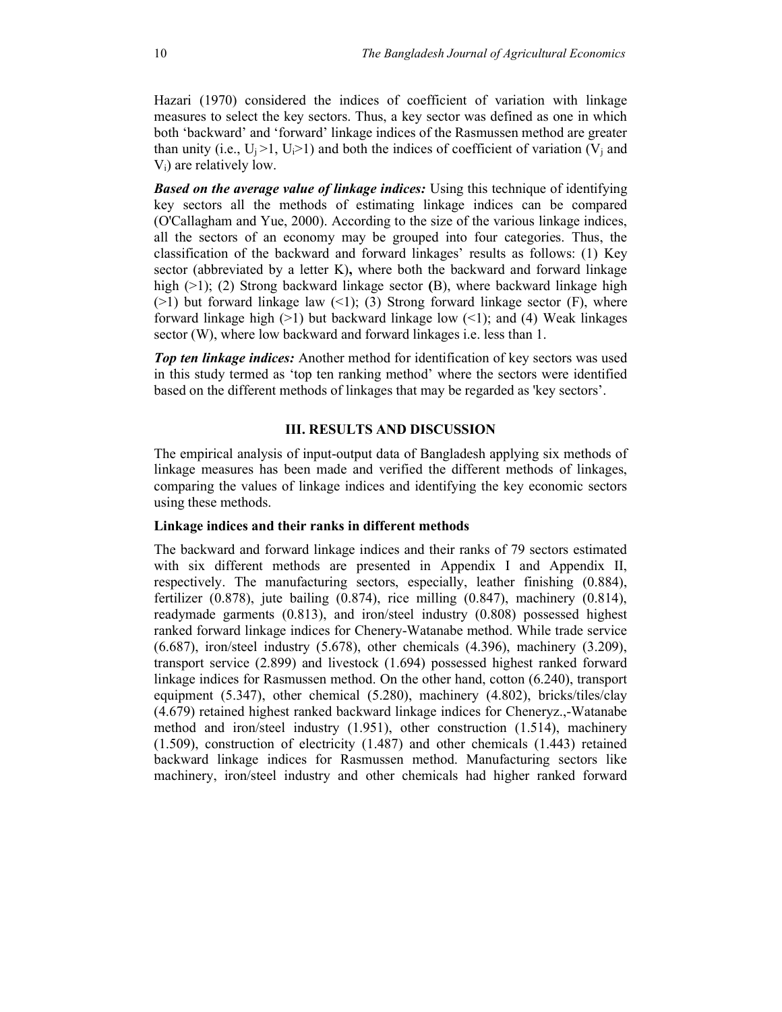Hazari (1970) considered the indices of coefficient of variation with linkage measures to select the key sectors. Thus, a key sector was defined as one in which both 'backward' and 'forward' linkage indices of the Rasmussen method are greater than unity (i.e.,  $U_i > 1$ ,  $U_i > 1$ ) and both the indices of coefficient of variation (V<sub>i</sub> and Vi) are relatively low.

**Based on the average value of linkage indices:** Using this technique of identifying key sectors all the methods of estimating linkage indices can be compared (O'Callagham and Yue, 2000). According to the size of the various linkage indices, all the sectors of an economy may be grouped into four categories. Thus, the classification of the backward and forward linkages' results as follows: (1) Key sector (abbreviated by a letter K), where both the backward and forward linkage high (>1); (2) Strong backward linkage sector (B), where backward linkage high  $(>1)$  but forward linkage law  $(≤1)$ ; (3) Strong forward linkage sector (F), where forward linkage high  $(>1)$  but backward linkage low  $(<1)$ ; and  $(4)$  Weak linkages sector (W), where low backward and forward linkages i.e. less than 1.

Top ten linkage indices: Another method for identification of key sectors was used in this study termed as 'top ten ranking method' where the sectors were identified based on the different methods of linkages that may be regarded as 'key sectors'.

# III. RESULTS AND DISCUSSION

The empirical analysis of input-output data of Bangladesh applying six methods of linkage measures has been made and verified the different methods of linkages, comparing the values of linkage indices and identifying the key economic sectors using these methods.

### Linkage indices and their ranks in different methods

The backward and forward linkage indices and their ranks of 79 sectors estimated with six different methods are presented in Appendix I and Appendix II, respectively. The manufacturing sectors, especially, leather finishing (0.884), fertilizer  $(0.878)$ , jute bailing  $(0.874)$ , rice milling  $(0.847)$ , machinery  $(0.814)$ , readymade garments (0.813), and iron/steel industry (0.808) possessed highest ranked forward linkage indices for Chenery-Watanabe method. While trade service (6.687), iron/steel industry (5.678), other chemicals (4.396), machinery (3.209), transport service (2.899) and livestock (1.694) possessed highest ranked forward linkage indices for Rasmussen method. On the other hand, cotton (6.240), transport equipment (5.347), other chemical (5.280), machinery (4.802), bricks/tiles/clay (4.679) retained highest ranked backward linkage indices for Cheneryz.,-Watanabe method and iron/steel industry (1.951), other construction (1.514), machinery (1.509), construction of electricity (1.487) and other chemicals (1.443) retained backward linkage indices for Rasmussen method. Manufacturing sectors like machinery, iron/steel industry and other chemicals had higher ranked forward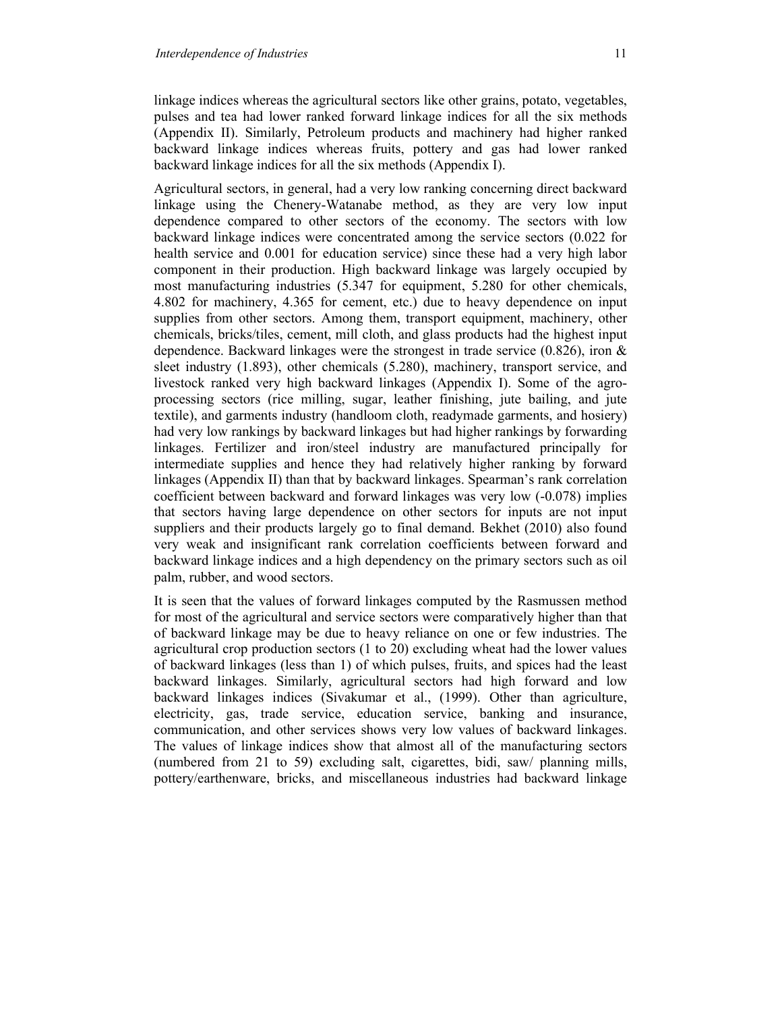linkage indices whereas the agricultural sectors like other grains, potato, vegetables, pulses and tea had lower ranked forward linkage indices for all the six methods (Appendix II). Similarly, Petroleum products and machinery had higher ranked backward linkage indices whereas fruits, pottery and gas had lower ranked backward linkage indices for all the six methods (Appendix I).

Agricultural sectors, in general, had a very low ranking concerning direct backward linkage using the Chenery-Watanabe method, as they are very low input dependence compared to other sectors of the economy. The sectors with low backward linkage indices were concentrated among the service sectors (0.022 for health service and 0.001 for education service) since these had a very high labor component in their production. High backward linkage was largely occupied by most manufacturing industries (5.347 for equipment, 5.280 for other chemicals, 4.802 for machinery, 4.365 for cement, etc.) due to heavy dependence on input supplies from other sectors. Among them, transport equipment, machinery, other chemicals, bricks/tiles, cement, mill cloth, and glass products had the highest input dependence. Backward linkages were the strongest in trade service (0.826), iron & sleet industry (1.893), other chemicals (5.280), machinery, transport service, and livestock ranked very high backward linkages (Appendix I). Some of the agroprocessing sectors (rice milling, sugar, leather finishing, jute bailing, and jute textile), and garments industry (handloom cloth, readymade garments, and hosiery) had very low rankings by backward linkages but had higher rankings by forwarding linkages. Fertilizer and iron/steel industry are manufactured principally for intermediate supplies and hence they had relatively higher ranking by forward linkages (Appendix II) than that by backward linkages. Spearman's rank correlation coefficient between backward and forward linkages was very low (-0.078) implies that sectors having large dependence on other sectors for inputs are not input suppliers and their products largely go to final demand. Bekhet (2010) also found very weak and insignificant rank correlation coefficients between forward and backward linkage indices and a high dependency on the primary sectors such as oil palm, rubber, and wood sectors.

It is seen that the values of forward linkages computed by the Rasmussen method for most of the agricultural and service sectors were comparatively higher than that of backward linkage may be due to heavy reliance on one or few industries. The agricultural crop production sectors (1 to 20) excluding wheat had the lower values of backward linkages (less than 1) of which pulses, fruits, and spices had the least backward linkages. Similarly, agricultural sectors had high forward and low backward linkages indices (Sivakumar et al., (1999). Other than agriculture, electricity, gas, trade service, education service, banking and insurance, communication, and other services shows very low values of backward linkages. The values of linkage indices show that almost all of the manufacturing sectors (numbered from 21 to 59) excluding salt, cigarettes, bidi, saw/ planning mills, pottery/earthenware, bricks, and miscellaneous industries had backward linkage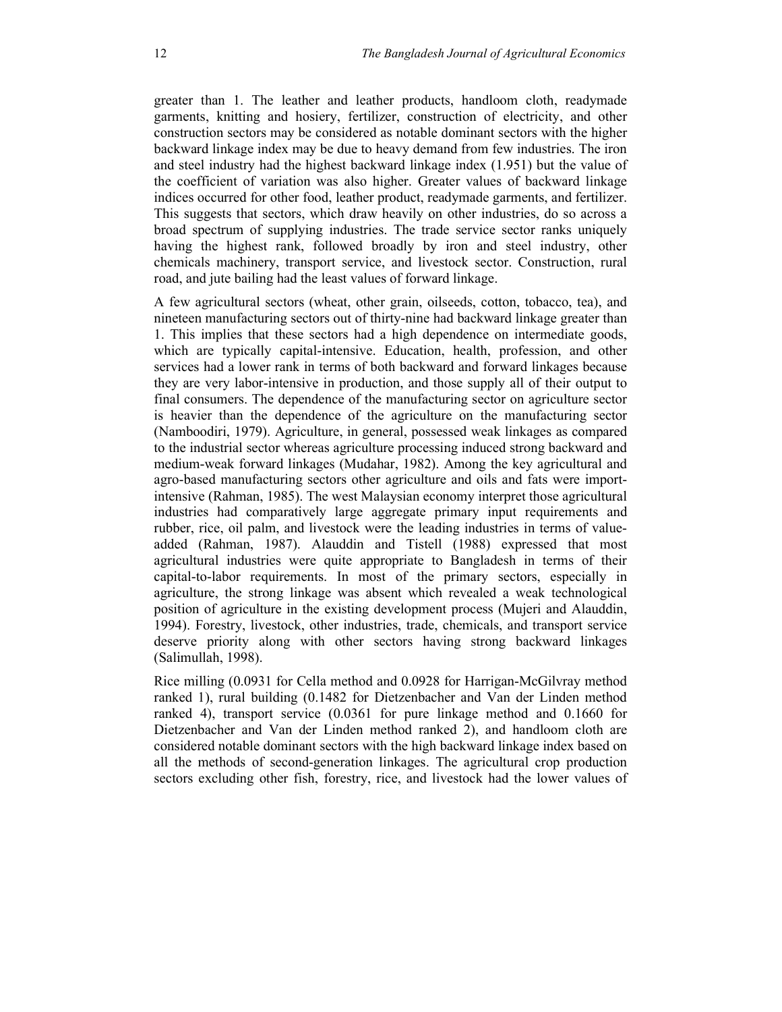greater than 1. The leather and leather products, handloom cloth, readymade garments, knitting and hosiery, fertilizer, construction of electricity, and other construction sectors may be considered as notable dominant sectors with the higher backward linkage index may be due to heavy demand from few industries. The iron and steel industry had the highest backward linkage index (1.951) but the value of the coefficient of variation was also higher. Greater values of backward linkage indices occurred for other food, leather product, readymade garments, and fertilizer. This suggests that sectors, which draw heavily on other industries, do so across a broad spectrum of supplying industries. The trade service sector ranks uniquely having the highest rank, followed broadly by iron and steel industry, other chemicals machinery, transport service, and livestock sector. Construction, rural road, and jute bailing had the least values of forward linkage.

A few agricultural sectors (wheat, other grain, oilseeds, cotton, tobacco, tea), and nineteen manufacturing sectors out of thirty-nine had backward linkage greater than 1. This implies that these sectors had a high dependence on intermediate goods, which are typically capital-intensive. Education, health, profession, and other services had a lower rank in terms of both backward and forward linkages because they are very labor-intensive in production, and those supply all of their output to final consumers. The dependence of the manufacturing sector on agriculture sector is heavier than the dependence of the agriculture on the manufacturing sector (Namboodiri, 1979). Agriculture, in general, possessed weak linkages as compared to the industrial sector whereas agriculture processing induced strong backward and medium-weak forward linkages (Mudahar, 1982). Among the key agricultural and agro-based manufacturing sectors other agriculture and oils and fats were importintensive (Rahman, 1985). The west Malaysian economy interpret those agricultural industries had comparatively large aggregate primary input requirements and rubber, rice, oil palm, and livestock were the leading industries in terms of valueadded (Rahman, 1987). Alauddin and Tistell (1988) expressed that most agricultural industries were quite appropriate to Bangladesh in terms of their capital-to-labor requirements. In most of the primary sectors, especially in agriculture, the strong linkage was absent which revealed a weak technological position of agriculture in the existing development process (Mujeri and Alauddin, 1994). Forestry, livestock, other industries, trade, chemicals, and transport service deserve priority along with other sectors having strong backward linkages (Salimullah, 1998).

Rice milling (0.0931 for Cella method and 0.0928 for Harrigan-McGilvray method ranked 1), rural building (0.1482 for Dietzenbacher and Van der Linden method ranked 4), transport service (0.0361 for pure linkage method and 0.1660 for Dietzenbacher and Van der Linden method ranked 2), and handloom cloth are considered notable dominant sectors with the high backward linkage index based on all the methods of second-generation linkages. The agricultural crop production sectors excluding other fish, forestry, rice, and livestock had the lower values of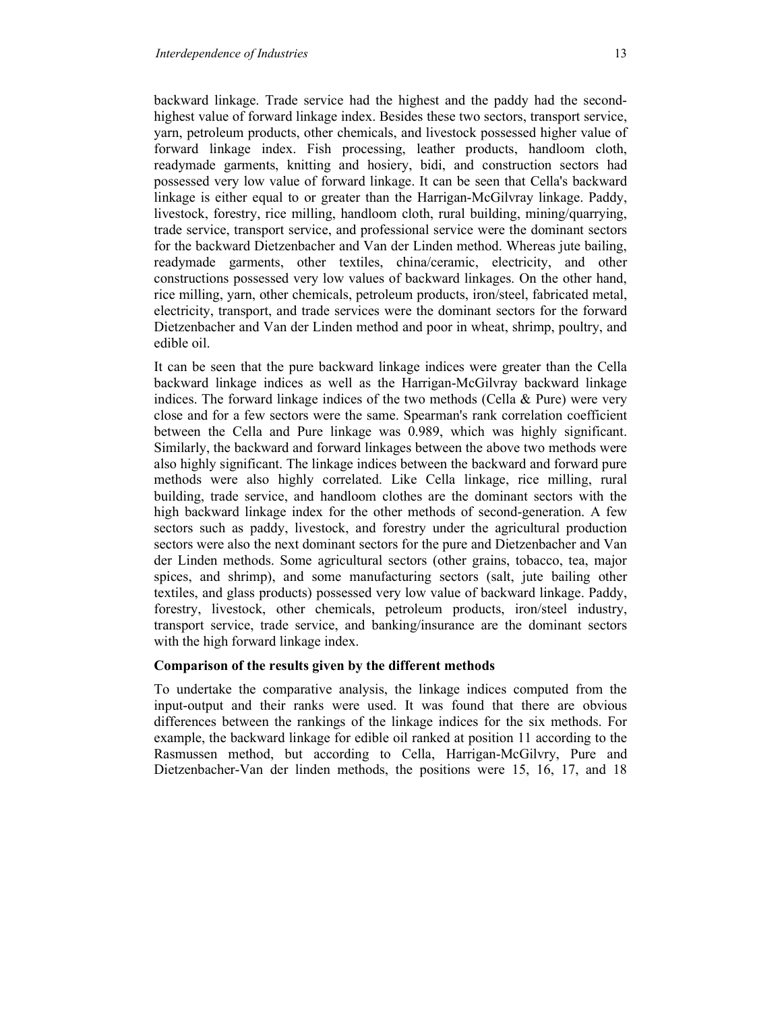backward linkage. Trade service had the highest and the paddy had the secondhighest value of forward linkage index. Besides these two sectors, transport service, yarn, petroleum products, other chemicals, and livestock possessed higher value of forward linkage index. Fish processing, leather products, handloom cloth, readymade garments, knitting and hosiery, bidi, and construction sectors had possessed very low value of forward linkage. It can be seen that Cella's backward linkage is either equal to or greater than the Harrigan-McGilvray linkage. Paddy, livestock, forestry, rice milling, handloom cloth, rural building, mining/quarrying, trade service, transport service, and professional service were the dominant sectors for the backward Dietzenbacher and Van der Linden method. Whereas jute bailing, readymade garments, other textiles, china/ceramic, electricity, and other constructions possessed very low values of backward linkages. On the other hand, rice milling, yarn, other chemicals, petroleum products, iron/steel, fabricated metal, electricity, transport, and trade services were the dominant sectors for the forward Dietzenbacher and Van der Linden method and poor in wheat, shrimp, poultry, and edible oil.

It can be seen that the pure backward linkage indices were greater than the Cella backward linkage indices as well as the Harrigan-McGilvray backward linkage indices. The forward linkage indices of the two methods (Cella & Pure) were very close and for a few sectors were the same. Spearman's rank correlation coefficient between the Cella and Pure linkage was 0.989, which was highly significant. Similarly, the backward and forward linkages between the above two methods were also highly significant. The linkage indices between the backward and forward pure methods were also highly correlated. Like Cella linkage, rice milling, rural building, trade service, and handloom clothes are the dominant sectors with the high backward linkage index for the other methods of second-generation. A few sectors such as paddy, livestock, and forestry under the agricultural production sectors were also the next dominant sectors for the pure and Dietzenbacher and Van der Linden methods. Some agricultural sectors (other grains, tobacco, tea, major spices, and shrimp), and some manufacturing sectors (salt, jute bailing other textiles, and glass products) possessed very low value of backward linkage. Paddy, forestry, livestock, other chemicals, petroleum products, iron/steel industry, transport service, trade service, and banking/insurance are the dominant sectors with the high forward linkage index.

# Comparison of the results given by the different methods

To undertake the comparative analysis, the linkage indices computed from the input-output and their ranks were used. It was found that there are obvious differences between the rankings of the linkage indices for the six methods. For example, the backward linkage for edible oil ranked at position 11 according to the Rasmussen method, but according to Cella, Harrigan-McGilvry, Pure and Dietzenbacher-Van der linden methods, the positions were 15, 16, 17, and 18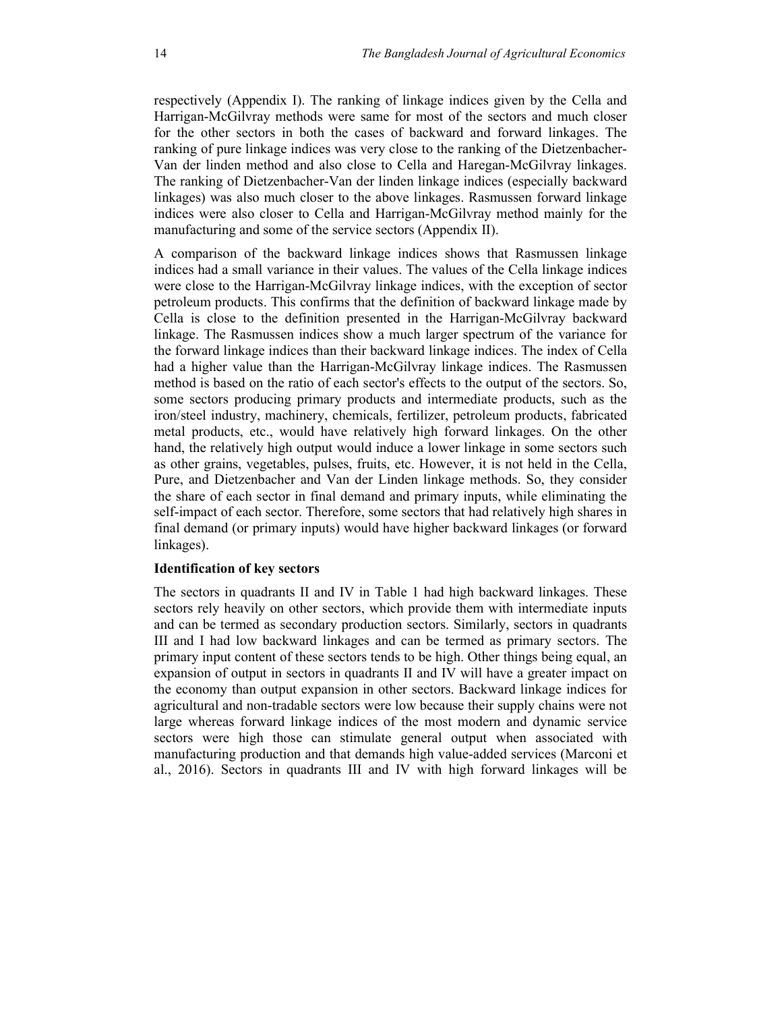respectively (Appendix I). The ranking of linkage indices given by the Cella and Harrigan-McGilvray methods were same for most of the sectors and much closer for the other sectors in both the cases of backward and forward linkages. The ranking of pure linkage indices was very close to the ranking of the Dietzenbacher-Van der linden method and also close to Cella and Haregan-McGilvray linkages. The ranking of Dietzenbacher-Van der linden linkage indices (especially backward linkages) was also much closer to the above linkages. Rasmussen forward linkage indices were also closer to Cella and Harrigan-McGilvray method mainly for the manufacturing and some of the service sectors (Appendix II).

A comparison of the backward linkage indices shows that Rasmussen linkage indices had a small variance in their values. The values of the Cella linkage indices were close to the Harrigan-McGilvray linkage indices, with the exception of sector petroleum products. This confirms that the definition of backward linkage made by Cella is close to the definition presented in the Harrigan-McGilvray backward linkage. The Rasmussen indices show a much larger spectrum of the variance for the forward linkage indices than their backward linkage indices. The index of Cella had a higher value than the Harrigan-McGilvray linkage indices. The Rasmussen method is based on the ratio of each sector's effects to the output of the sectors. So, some sectors producing primary products and intermediate products, such as the iron/steel industry, machinery, chemicals, fertilizer, petroleum products, fabricated metal products, etc., would have relatively high forward linkages. On the other hand, the relatively high output would induce a lower linkage in some sectors such as other grains, vegetables, pulses, fruits, etc. However, it is not held in the Cella, Pure, and Dietzenbacher and Van der Linden linkage methods. So, they consider the share of each sector in final demand and primary inputs, while eliminating the self-impact of each sector. Therefore, some sectors that had relatively high shares in final demand (or primary inputs) would have higher backward linkages (or forward linkages).

# Identification of key sectors

The sectors in quadrants II and IV in Table 1 had high backward linkages. These sectors rely heavily on other sectors, which provide them with intermediate inputs and can be termed as secondary production sectors. Similarly, sectors in quadrants III and I had low backward linkages and can be termed as primary sectors. The primary input content of these sectors tends to be high. Other things being equal, an expansion of output in sectors in quadrants II and IV will have a greater impact on the economy than output expansion in other sectors. Backward linkage indices for agricultural and non-tradable sectors were low because their supply chains were not large whereas forward linkage indices of the most modern and dynamic service sectors were high those can stimulate general output when associated with manufacturing production and that demands high value-added services (Marconi et al., 2016). Sectors in quadrants III and IV with high forward linkages will be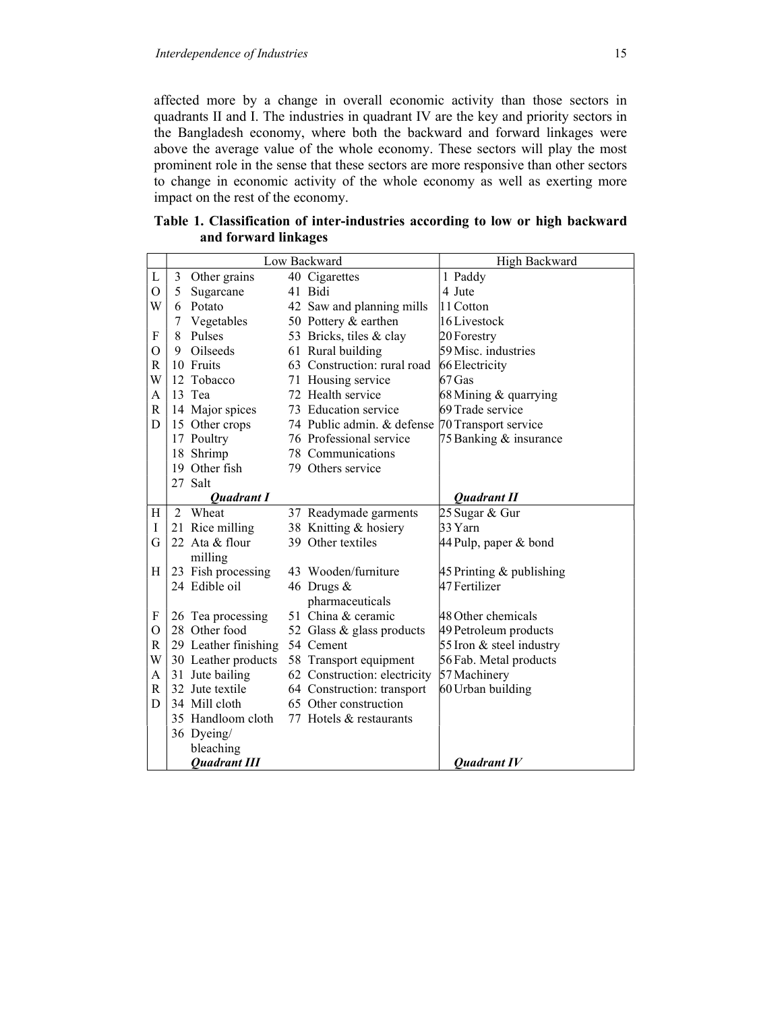affected more by a change in overall economic activity than those sectors in quadrants II and I. The industries in quadrant IV are the key and priority sectors in the Bangladesh economy, where both the backward and forward linkages were above the average value of the whole economy. These sectors will play the most prominent role in the sense that these sectors are more responsive than other sectors to change in economic activity of the whole economy as well as exerting more impact on the rest of the economy.

|             |    |                      | Low Backward                                    | High Backward               |
|-------------|----|----------------------|-------------------------------------------------|-----------------------------|
| L           |    | 3 Other grains       | 40 Cigarettes                                   | 1 Paddy                     |
| $\mathbf O$ |    | 5 Sugarcane          | 41 Bidi                                         | 4 Jute                      |
| W           |    | 6 Potato             | 42 Saw and planning mills                       | 11 Cotton                   |
|             | 7  | Vegetables           | 50 Pottery & earthen                            | 16 Livestock                |
| F           | 8  | Pulses               | 53 Bricks, tiles & clay                         | 20 Forestry                 |
| O           | 9  | Oilseeds             | 61 Rural building                               | 59 Misc. industries         |
| R           |    | 10 Fruits            | 63 Construction: rural road                     | 66 Electricity              |
| W           |    | 12 Tobacco           | 71 Housing service                              | 67 Gas                      |
| A           |    | 13 Tea               | 72 Health service                               | 68 Mining $\&$ quarrying    |
| R           |    | 14 Major spices      | 73 Education service                            | 69 Trade service            |
| D           |    | 15 Other crops       | 74 Public admin. & defense 70 Transport service |                             |
|             |    | 17 Poultry           | 76 Professional service                         | 75 Banking & insurance      |
|             | 18 | Shrimp               | 78 Communications                               |                             |
|             |    | 19 Other fish        | 79 Others service                               |                             |
|             |    | 27 Salt              |                                                 |                             |
|             |    | <b>Quadrant I</b>    |                                                 | <b>Quadrant II</b>          |
| Η           | 2  | Wheat                | 37 Readymade garments                           | 25 Sugar & Gur              |
| I           |    | 21 Rice milling      | 38 Knitting & hosiery                           | 33 Yarn                     |
| G           |    | 22 Ata & flour       | 39 Other textiles                               | 44 Pulp, paper & bond       |
|             |    | milling              |                                                 |                             |
| Η           |    | 23 Fish processing   | 43 Wooden/furniture                             | 45 Printing $\&$ publishing |
|             |    | 24 Edible oil        | 46 Drugs &                                      | 47 Fertilizer               |
|             |    |                      | pharmaceuticals                                 |                             |
| F           |    | 26 Tea processing    | 51 China & ceramic                              | 48 Other chemicals          |
| O           |    | 28 Other food        | 52 Glass & glass products                       | 49 Petroleum products       |
| R           |    | 29 Leather finishing | 54 Cement                                       | 55 Iron & steel industry    |
| W           |    | 30 Leather products  | 58 Transport equipment                          | 56 Fab. Metal products      |
| A           |    | 31 Jute bailing      | 62 Construction: electricity                    | 57 Machinery                |
| R           |    | 32 Jute textile      | 64 Construction: transport                      | 60 Urban building           |
| D           |    | 34 Mill cloth        | 65 Other construction                           |                             |
|             |    | 35 Handloom cloth    | 77 Hotels & restaurants                         |                             |
|             |    | 36 Dyeing/           |                                                 |                             |
|             |    | bleaching            |                                                 |                             |
|             |    | <b>Ouadrant III</b>  |                                                 | <b>Ouadrant IV</b>          |

Table 1. Classification of inter-industries according to low or high backward and forward linkages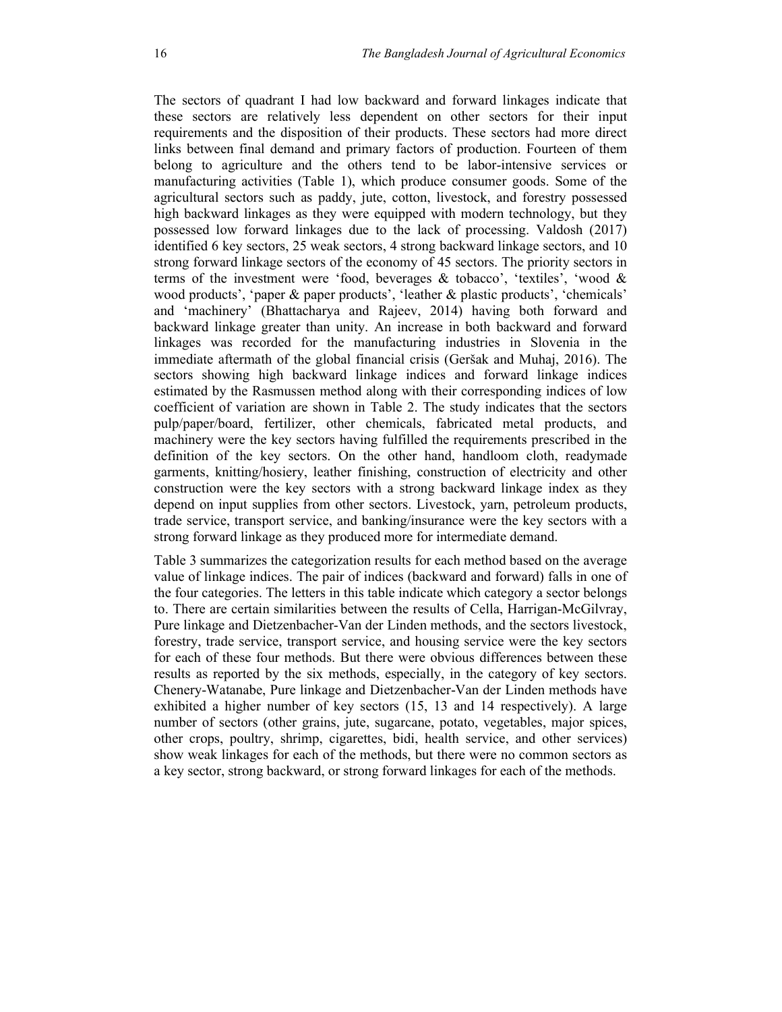The sectors of quadrant I had low backward and forward linkages indicate that these sectors are relatively less dependent on other sectors for their input requirements and the disposition of their products. These sectors had more direct links between final demand and primary factors of production. Fourteen of them belong to agriculture and the others tend to be labor-intensive services or manufacturing activities (Table 1), which produce consumer goods. Some of the agricultural sectors such as paddy, jute, cotton, livestock, and forestry possessed high backward linkages as they were equipped with modern technology, but they possessed low forward linkages due to the lack of processing. Valdosh (2017) identified 6 key sectors, 25 weak sectors, 4 strong backward linkage sectors, and 10 strong forward linkage sectors of the economy of 45 sectors. The priority sectors in terms of the investment were 'food, beverages & tobacco', 'textiles', 'wood & wood products', 'paper & paper products', 'leather & plastic products', 'chemicals' and 'machinery' (Bhattacharya and Rajeev, 2014) having both forward and backward linkage greater than unity. An increase in both backward and forward linkages was recorded for the manufacturing industries in Slovenia in the immediate aftermath of the global financial crisis (Geršak and Muhaj, 2016). The sectors showing high backward linkage indices and forward linkage indices estimated by the Rasmussen method along with their corresponding indices of low coefficient of variation are shown in Table 2. The study indicates that the sectors pulp/paper/board, fertilizer, other chemicals, fabricated metal products, and machinery were the key sectors having fulfilled the requirements prescribed in the definition of the key sectors. On the other hand, handloom cloth, readymade garments, knitting/hosiery, leather finishing, construction of electricity and other construction were the key sectors with a strong backward linkage index as they depend on input supplies from other sectors. Livestock, yarn, petroleum products, trade service, transport service, and banking/insurance were the key sectors with a strong forward linkage as they produced more for intermediate demand.

Table 3 summarizes the categorization results for each method based on the average value of linkage indices. The pair of indices (backward and forward) falls in one of the four categories. The letters in this table indicate which category a sector belongs to. There are certain similarities between the results of Cella, Harrigan-McGilvray, Pure linkage and Dietzenbacher-Van der Linden methods, and the sectors livestock, forestry, trade service, transport service, and housing service were the key sectors for each of these four methods. But there were obvious differences between these results as reported by the six methods, especially, in the category of key sectors. Chenery-Watanabe, Pure linkage and Dietzenbacher-Van der Linden methods have exhibited a higher number of key sectors (15, 13 and 14 respectively). A large number of sectors (other grains, jute, sugarcane, potato, vegetables, major spices, other crops, poultry, shrimp, cigarettes, bidi, health service, and other services) show weak linkages for each of the methods, but there were no common sectors as a key sector, strong backward, or strong forward linkages for each of the methods.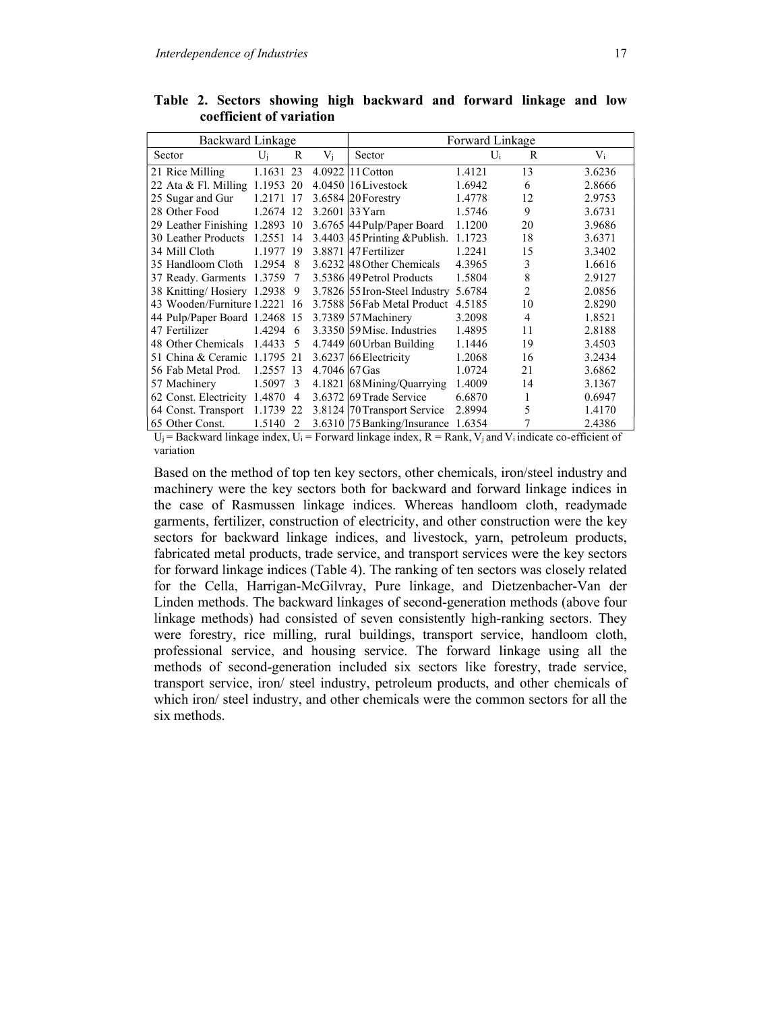| Backward Linkage              |           |                |               | Forward Linkage                    |        |    |        |  |  |  |  |
|-------------------------------|-----------|----------------|---------------|------------------------------------|--------|----|--------|--|--|--|--|
| Sector                        | $U_i$     | R              | $V_i$         | Sector                             | Ui     | R  | $V_i$  |  |  |  |  |
| 21 Rice Milling               | 1.1631    | 23             |               | 4.0922 11 Cotton                   | 1.4121 | 13 | 3.6236 |  |  |  |  |
| 22 Ata & Fl. Milling 1.1953   |           | 20             |               | $4.0450$ 16 Livestock              | 1.6942 | 6  | 2.8666 |  |  |  |  |
| 25 Sugar and Gur              | 1.2171    | 17             |               | 3.6584 20 Forestry                 | 1.4778 | 12 | 2.9753 |  |  |  |  |
| 28 Other Food                 | 1.2674 12 |                | 3.2601        | $33$ Yarn                          | 1.5746 | 9  | 3.6731 |  |  |  |  |
| 29 Leather Finishing 1.2893   |           | -10            |               | 3.6765 44 Pulp/Paper Board         | 1.1200 | 20 | 3.9686 |  |  |  |  |
| 30 Leather Products           | 1.2551    | 14             |               | $3.4403$  45 Printing & Publish.   | 1.1723 | 18 | 3.6371 |  |  |  |  |
| 34 Mill Cloth                 | 1.1977    | 19             |               | 3.8871 47 Fertilizer               | 1.2241 | 15 | 3.3402 |  |  |  |  |
| 35 Handloom Cloth             | 1.2954    | 8              |               | 3.6232 48 Other Chemicals          | 4.3965 | 3  | 1.6616 |  |  |  |  |
| 37 Ready. Garments 1.3759     |           | 7              |               | 3.5386 49 Petrol Products          | 1.5804 | 8  | 2.9127 |  |  |  |  |
| 38 Knitting/Hosiery 1.2938    |           | 9              |               | 3.7826 55 Iron-Steel Industry      | 5.6784 | 2  | 2.0856 |  |  |  |  |
| 43 Wooden/Furniture 1.2221    |           | 16             |               | 3.7588 56 Fab Metal Product 4.5185 |        | 10 | 2.8290 |  |  |  |  |
| 44 Pulp/Paper Board 1.2468 15 |           |                |               | 3.7389 57 Machinery                | 3.2098 | 4  | 1.8521 |  |  |  |  |
| 47 Fertilizer                 | 1.4294    | 6              |               | 3.3350 59 Misc. Industries         | 1.4895 | 11 | 2.8188 |  |  |  |  |
| 48 Other Chemicals            | 1.4433    | 5              |               | 4.7449 60 Urban Building           | 1.1446 | 19 | 3.4503 |  |  |  |  |
| 51 China & Ceramic 1.1795 21  |           |                |               | 3.6237 66 Electricity              | 1.2068 | 16 | 3.2434 |  |  |  |  |
| 56 Fab Metal Prod.            | 1.2557    | 13             | 4.7046 67 Gas |                                    | 1.0724 | 21 | 3.6862 |  |  |  |  |
| 57 Machinery                  | 1.5097    | 3              |               | 4.1821 68 Mining/Quarrying         | 1.4009 | 14 | 3.1367 |  |  |  |  |
| 62 Const. Electricity 1.4870  |           | $\overline{4}$ |               | 3.6372 69 Trade Service            | 6.6870 | 1  | 0.6947 |  |  |  |  |
| 64 Const. Transport           | 1.1739    | 22             |               | 3.8124 70 Transport Service        | 2.8994 | 5  | 1.4170 |  |  |  |  |
| 65 Other Const.               | 1.5140    | 2              |               | 3.6310 75 Banking/Insurance        | 1.6354 |    | 2.4386 |  |  |  |  |

Table 2. Sectors showing high backward and forward linkage and low coefficient of variation

 $U_i$  = Backward linkage index,  $U_i$  = Forward linkage index, R = Rank,  $V_i$  and  $V_i$  indicate co-efficient of variation

Based on the method of top ten key sectors, other chemicals, iron/steel industry and machinery were the key sectors both for backward and forward linkage indices in the case of Rasmussen linkage indices. Whereas handloom cloth, readymade garments, fertilizer, construction of electricity, and other construction were the key sectors for backward linkage indices, and livestock, yarn, petroleum products, fabricated metal products, trade service, and transport services were the key sectors for forward linkage indices (Table 4). The ranking of ten sectors was closely related for the Cella, Harrigan-McGilvray, Pure linkage, and Dietzenbacher-Van der Linden methods. The backward linkages of second-generation methods (above four linkage methods) had consisted of seven consistently high-ranking sectors. They were forestry, rice milling, rural buildings, transport service, handloom cloth, professional service, and housing service. The forward linkage using all the methods of second-generation included six sectors like forestry, trade service, transport service, iron/ steel industry, petroleum products, and other chemicals of which iron/ steel industry, and other chemicals were the common sectors for all the six methods.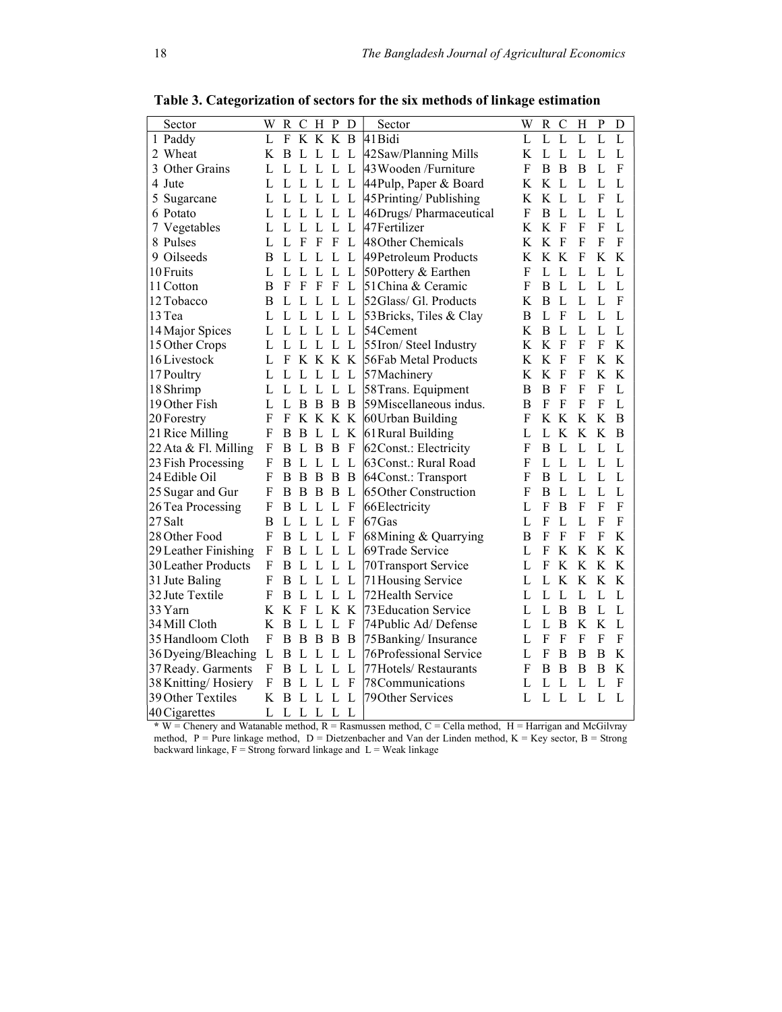| Sector               | W | R   | C           | Н            | $\mathbf P$  | D            | Sector                      | W | $\mathbb{R}$ | $\mathcal{C}$ | Η           | $\mathbf{P}$ | D              |
|----------------------|---|-----|-------------|--------------|--------------|--------------|-----------------------------|---|--------------|---------------|-------------|--------------|----------------|
| 1 Paddy              | L | F   |             | K K K        |              | B            | 41 Bidi                     | L | L            | L             | L           | L            | $\overline{L}$ |
| 2 Wheat              | K | B   | L           | L            | L            | L            | 42 Saw/Planning Mills       | K | L            | L             | L           | L            | L              |
| 3 Other Grains       | L | L   | L           | L            | L            | L            | 43 Wooden /Furniture        | F | B            | B             | B           | L            | F              |
| 4 Jute               | L | L L |             | L            | L            | L            | 44 Pulp, Paper & Board      | K | K            | $\mathbf{L}$  | L           | L            | L              |
| Sugarcane            | L | L   | L           | L            | L            | L            | 45 Printing/Publishing      | K | K L          |               | L           | F            | L              |
| 6 Potato             | L | L   | L           | L            | $\mathbf{L}$ | L            | 46Drugs/ Pharmaceutical     | F | B            | L             | L           | L            | L              |
| 7 Vegetables         | L | L   | L           | L            | L            | L            | 47Fertilizer                | K | K            | $\mathbf{F}$  | F           | F            | L              |
| 8 Pulses             | L | L   | $\mathbf F$ | $\mathbf{F}$ | $\mathbf{F}$ | L            | 48 Other Chemicals          | K | K            | $\mathbf F$   | F           | F            | F              |
| 9 Oilseeds           | B | L   | L           | L            | L            | L            | 49 Petroleum Products       | K | K K          |               | $\mathbf F$ | K            | K              |
| 10 Fruits            | L | L   | L           | L            | L            | L            | 50Pottery & Earthen         | F | L            | L             | L           | L            | L              |
| 11 Cotton            | B | F   | $_{\rm F}$  | F            | $\mathbf F$  | L            | 51 China & Ceramic          | F | B            | L             | L           | L            | L              |
| 12 Tobacco           | В | L   | L           | L            | L            | L            | 52Glass/ Gl. Products       | K | B            | L             | L           | L            | F              |
| 13 Tea               | L | L   | L           | L            | L            | L            | 53 Bricks, Tiles & Clay     | B | $\mathbf L$  | $\mathbf{F}$  | L           | L            | L              |
| 14 Major Spices      | L | L   | L           | L            | L            | L            | 54Cement                    | K | B            | L             | L           | L            | L              |
| 15 Other Crops       | L | L   | L           | L            | L            | L            | 55Iron/ Steel Industry      | K | K            | $\mathbf{F}$  | F           | F            | K              |
| 16 Livestock         | L | F   |             | K K K K      |              |              | 56Fab Metal Products        | K | K            | $\mathbf F$   | F           | K            | K              |
| 17 Poultry           | L | L   | L           | L            | L            | L            | 57Machinery                 | K | K            | F             | F           | K            | K              |
| 18 Shrimp            | L | L   | L           | L            | L            | L            | 58Trans. Equipment          | B | B            | $\mathbf{F}$  | F           | F            | L              |
| 19 Other Fish        | L | L   | B           | B            | B            | B            | 59Miscellaneous indus.      | B | F            | F             | F           | F            | L              |
| 20 Forestry          | F | F   |             | K K K        |              | $\bf K$      | 60 Urban Building           | F | K            | K             | K           | K            | B              |
| 21 Rice Milling      | F | B   | B           | L            | L            | K            | 61 Rural Building           | L | L            | K             | K           | K            | B              |
| 22 Ata & Fl. Milling | F | В   | L           | B            | B            | $\mathbf{F}$ | 62Const.: Electricity       | F | B            | L             | L           | L            | L              |
| 23 Fish Processing   | F | B   | L           | L            | L            | L            | 63 Const.: Rural Road       | F | L            | L             | L           | L            | L              |
| 24 Edible Oil        | F | B   | B           | B            | $\mathbf{B}$ | B            | 64Const.: Transport         | F | B            | $\mathbf{L}$  | L           | L            | L              |
| 25 Sugar and Gur     | F | B   | B           | B            | $\mathbf{B}$ | L            | 65 Other Construction       | F | $\mathbf B$  | $\mathbf{L}$  | L           | L            | L              |
| 26 Tea Processing    | F | B   | L           | L            | L            | $\mathbf{F}$ | 66Electricity               | L | F            | B             | F           | F            | ${\bf F}$      |
| 27 Salt              | B | L   | L           | L            | L            | F            | 67 Gas                      | L | F            | L             | L           | F            | F              |
| 28 Other Food        | F | B   | L           | L            | L            | F            | 68Mining & Quarrying        | B | F            | F             | F           | F            | K              |
| 29 Leather Finishing | F | B   | L           | L            | L            | L            | 69Trade Service             | L | F            | K             | K           | K            | K              |
| 30 Leather Products  | F | B   | L           | L            | L            | L            | 70 Transport Service        | L | F            | K             | K           | K            | K              |
| 31 Jute Baling       | F | B   | L           | L            | L            | L            | 71 Housing Service          | L | L            | K             | K           | K            | K              |
| 32 Jute Textile      | F | B   | L           | L            | L            | L            | 72Health Service            | L | L            | L             | L           | L            | L              |
| 33 Yarn              | K | K   | F           | L            | K            | K            | <b>73 Education Service</b> | L | L            | B             | B           | L            | L              |
| 34 Mill Cloth        | K | B   | L           | L            | L            | F            | 74 Public Ad/Defense        | L | L            | B             | K           | K            | L              |
| 35 Handloom Cloth    | F | B   | B           | B            | B            | B            | 75 Banking/ Insurance       | L | $\mathbf F$  | $\mathbf F$   | F           | F            | ${\bf F}$      |
| 36 Dyeing/Bleaching  | L | B   | L           | L            | L            | L            | 76Professional Service      | L | F            | B             | B           | B            | $\rm K$        |
| 37 Ready. Garments   | F | B   | L           | L            | L            | L            | 77 Hotels/Restaurants       | F | В            | B             | B           | B            | K              |
| 38 Knitting/Hosiery  | F | В   | L           | L            | L            | F            | 78Communications            | L | L            | L             | L           | L            | F              |
| 39 Other Textiles    | K | B   | L           |              | L            | L            | 79 Other Services           | L | L            | L             | L           | L            | L              |
| 40 Cigarettes        | L | L   | L           | L            | L            | L            |                             |   |              |               |             |              |                |

Table 3. Categorization of sectors for the six methods of linkage estimation

 $*$  W = Chenery and Watanable method, R = Rasmussen method, C = Cella method, H = Harrigan and McGilvray method,  $P = Pure linkage method, D = Dietzenbacher and Van der Linden method, K = Key sector, B = Strong$ backward linkage,  $F =$  Strong forward linkage and  $L =$  Weak linkage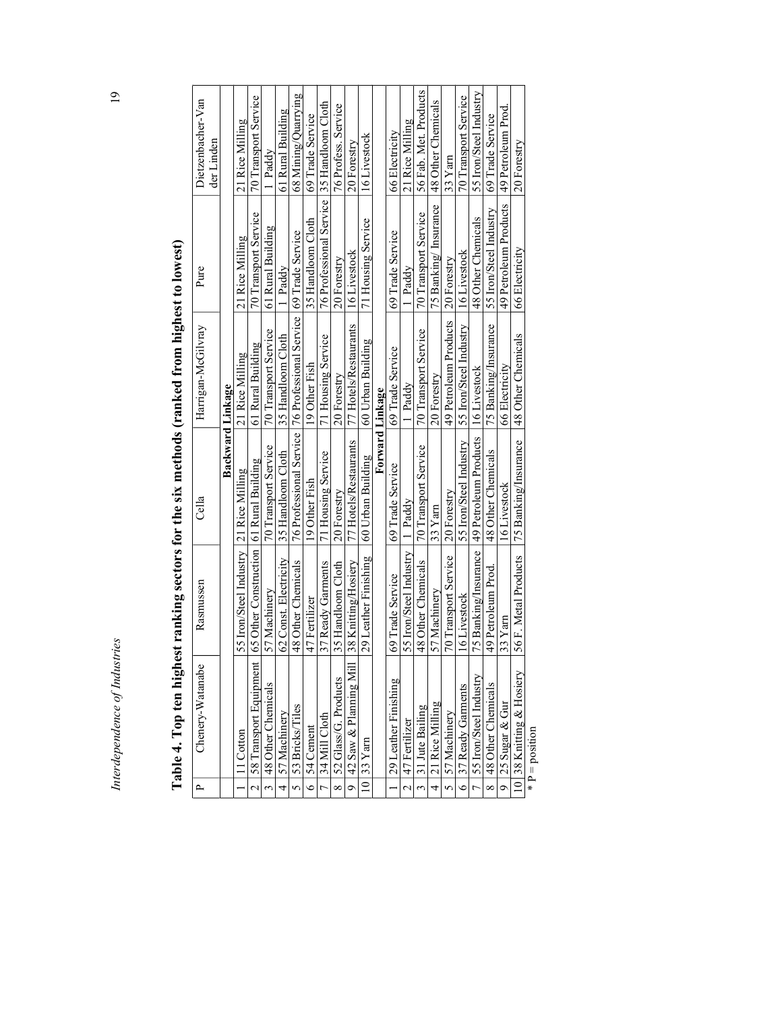| Ç<br>ì                                    |
|-------------------------------------------|
|                                           |
|                                           |
|                                           |
|                                           |
|                                           |
|                                           |
|                                           |
|                                           |
|                                           |
|                                           |
|                                           |
|                                           |
|                                           |
|                                           |
|                                           |
|                                           |
|                                           |
|                                           |
|                                           |
|                                           |
|                                           |
|                                           |
|                                           |
|                                           |
|                                           |
|                                           |
|                                           |
|                                           |
|                                           |
|                                           |
|                                           |
|                                           |
|                                           |
|                                           |
|                                           |
|                                           |
|                                           |
|                                           |
|                                           |
|                                           |
|                                           |
|                                           |
|                                           |
|                                           |
|                                           |
|                                           |
|                                           |
|                                           |
|                                           |
|                                           |
|                                           |
|                                           |
| $\ddot{\cdot}$<br>mes                     |
| ׇ֚֬֡                                      |
|                                           |
| I<br>l                                    |
|                                           |
| Ï                                         |
| $\overline{\phantom{a}}$                  |
| ֖֚֬֘֝֬֓<br>ì                              |
| Ī                                         |
| í<br>֖֚֬֘֝֬֓<br>l                         |
| ì                                         |
| l<br>i<br>j<br>i<br>j<br>l<br>3<br>í<br>Ż |

| ֠                                                      |
|--------------------------------------------------------|
|                                                        |
|                                                        |
|                                                        |
|                                                        |
|                                                        |
|                                                        |
|                                                        |
|                                                        |
|                                                        |
|                                                        |
|                                                        |
|                                                        |
| ux met                                                 |
|                                                        |
|                                                        |
|                                                        |
|                                                        |
| ;<br>;                                                 |
|                                                        |
|                                                        |
|                                                        |
|                                                        |
|                                                        |
|                                                        |
|                                                        |
|                                                        |
|                                                        |
|                                                        |
|                                                        |
|                                                        |
|                                                        |
|                                                        |
|                                                        |
|                                                        |
|                                                        |
| $\blacksquare$ . Then hier<br>$\overline{\phantom{a}}$ |
|                                                        |
|                                                        |
| $\frac{1}{2}$                                          |
|                                                        |
|                                                        |

|                          | Interdependence of Industries                                                                |                                            |                                         |                                                                      |                                             | $\overline{a}$         |
|--------------------------|----------------------------------------------------------------------------------------------|--------------------------------------------|-----------------------------------------|----------------------------------------------------------------------|---------------------------------------------|------------------------|
|                          | Table 4. Top ten highest ranking sectors for the six methods (ranked from highest to lowest) |                                            |                                         |                                                                      |                                             |                        |
| $\overline{\phantom{a}}$ | Chenery-Watanabe                                                                             | Rasmussen                                  | Cella                                   | Harrigan-McGilvray                                                   | Pure                                        | Dietzenbacher-Van      |
|                          |                                                                                              |                                            |                                         |                                                                      |                                             | der Linden             |
|                          |                                                                                              |                                            | Backward Linkage                        |                                                                      |                                             |                        |
|                          | 1 Cotton                                                                                     | 55 Iron/Steel Industry 21 Rice Milling     |                                         | 21 Rice Milling                                                      | 21 Rice Milling                             | 21 Rice Milling        |
| $\mathcal{L}$            | 58 Transport Equipment                                                                       | 65 Other Construction 61 Rural Building    |                                         | 61 Rural Building                                                    | 70 Transport Service                        | 70 Transport Service   |
| $\tilde{\epsilon}$       | 48 Other Chemicals                                                                           | 57 Machinery                               | 70 Transport Service                    | 70 Transport Service                                                 | 61 Rural Building                           | Paddy                  |
| 4                        | 57 Machinery                                                                                 | 62 Const. Electricity                      | 35 Handloom Cloth                       | 35 Handloom Cloth                                                    | 1 Paddy                                     | 61 Rural Building      |
| $\mathbf{v}$             | 53 Bricks/Tiles                                                                              | 48 Other Chemicals                         |                                         | 76 Professional Service   76 Professional Service   69 Trade Service |                                             | 68 Mining/Quarrying    |
| 6                        | 54 Cement                                                                                    | 47 Fertilizer                              | 19 Other Fish                           | 19 Other Fish                                                        | 35 Handloom Cloth                           | 69 Trade Service       |
| $\overline{r}$           | 34 Mill Cloth                                                                                | 37 Ready Garments                          | 71 Housing Service                      | 71 Housing Service                                                   | 76 Professional Service   35 Handloom Cloth |                        |
| $\infty$                 | 52 Glass/G. Products                                                                         | 35 Handloom Cloth                          | 20 Forestry                             | 20 Forestry                                                          | 20 Forestry                                 | 76 Profess. Service    |
| $\circ$                  | 42 Saw & Planning Mill                                                                       | 38 Knitting/Hosiery                        | 77 Hotels/Restaurants                   | 77 Hotels/Restaurants                                                | 16 Livestock                                | 20 Forestry            |
|                          | $10$ 33 $Yam$                                                                                | 29 Leather Finishing                       | 60 Urban Building                       | 60 Urban Building                                                    | 71 Housing Service                          | 16 Livestock           |
|                          |                                                                                              |                                            | Forward Linkage                         |                                                                      |                                             |                        |
|                          | 29 Leather Finishing                                                                         | 69 Trade Service                           | 69 Trade Service                        | 69 Trade Service                                                     | 69 Trade Service                            | 66 Electricity         |
| $\overline{\mathcal{C}}$ | 47 Fertilizer                                                                                | 55 Iron/Steel Industry                     | 1 Paddy                                 | Paddy                                                                | Paddy                                       | 21 Rice Milling        |
|                          | 31 Jute Bailing                                                                              | 48 Other Chemicals                         | 70 Transport Service                    | 70 Transport Service                                                 | 70 Transport Service                        | 56 Fab. Met. Products  |
| 4                        | 21 Rice Milling                                                                              | 57 Machinery                               | 33 Yam                                  | 20 Forestry                                                          | 75 Banking/ Insurance                       | 48 Other Chemicals     |
| 5                        | 57 Machinery                                                                                 | 70 Transport Service                       | 20 Forestry                             | 49 Petroleum Products                                                | 20 Forestry                                 | $33$ Yarn              |
| $\bullet$                | 37 Ready Garments                                                                            | 16 Livestock                               | 55 Iron/Steel Industry                  | 55 Iron/Steel Industry                                               | 16 Livestock                                | 70 Transport Service   |
| $\overline{C}$           | 55 Iron/Steel Industry                                                                       | 75 Banking/Insurance 49 Petroleum Products |                                         | 16 Livestock                                                         | 48 Other Chemicals                          | 55 Iron/Steel Industry |
| $\infty$                 | 48 Other Chemicals                                                                           | 49 Petroleum Prod.                         | 48 Other Chemicals                      | 75 Banking/Insurance                                                 | 55 Iron/Steel Industry                      | 69 Trade Service       |
| $\sigma$                 | 25 Sugar & Gur                                                                               | $ 33$ Yam                                  | 16 Livestock                            | 66 Electricity                                                       | 49 Petroleum Products                       | 49 Petroleum Prod.     |
|                          | 10 38 Knitting & Hosiery                                                                     | 56 F. Metal Products                       | 75 Banking/Insurance 48 Other Chemicals |                                                                      | 66 Electricity                              | 20 Forestry            |

\*  $P = position$  $* P = position$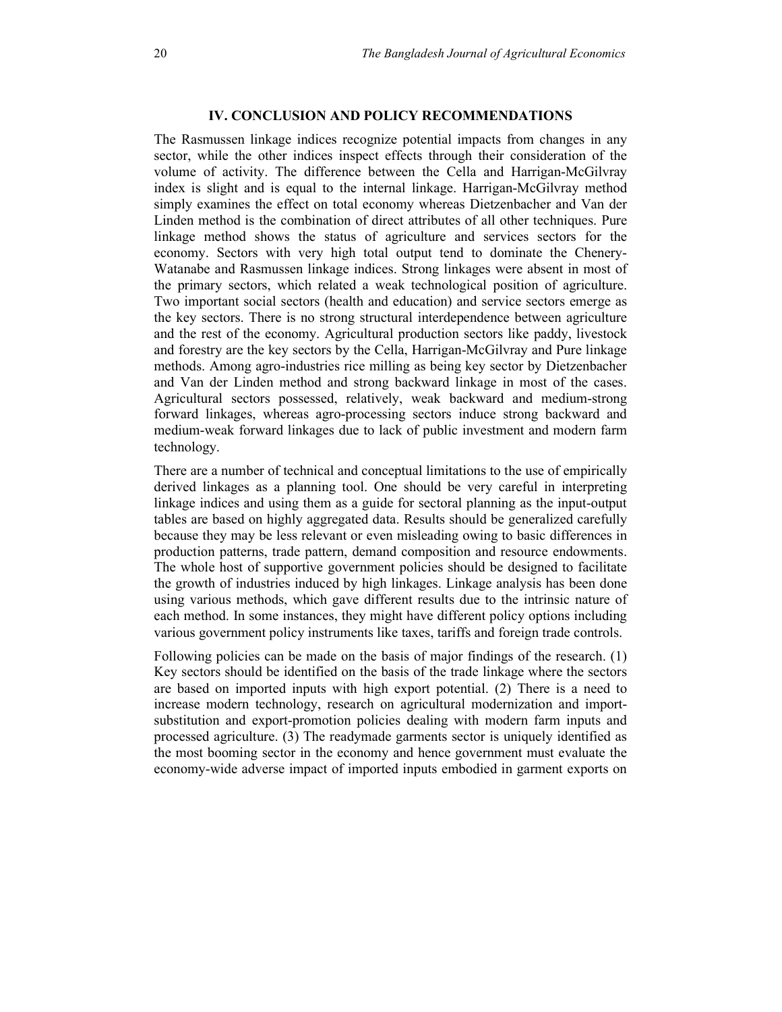# IV. CONCLUSION AND POLICY RECOMMENDATIONS

The Rasmussen linkage indices recognize potential impacts from changes in any sector, while the other indices inspect effects through their consideration of the volume of activity. The difference between the Cella and Harrigan-McGilvray index is slight and is equal to the internal linkage. Harrigan-McGilvray method simply examines the effect on total economy whereas Dietzenbacher and Van der Linden method is the combination of direct attributes of all other techniques. Pure linkage method shows the status of agriculture and services sectors for the economy. Sectors with very high total output tend to dominate the Chenery-Watanabe and Rasmussen linkage indices. Strong linkages were absent in most of the primary sectors, which related a weak technological position of agriculture. Two important social sectors (health and education) and service sectors emerge as the key sectors. There is no strong structural interdependence between agriculture and the rest of the economy. Agricultural production sectors like paddy, livestock and forestry are the key sectors by the Cella, Harrigan-McGilvray and Pure linkage methods. Among agro-industries rice milling as being key sector by Dietzenbacher and Van der Linden method and strong backward linkage in most of the cases. Agricultural sectors possessed, relatively, weak backward and medium-strong forward linkages, whereas agro-processing sectors induce strong backward and medium-weak forward linkages due to lack of public investment and modern farm technology.

There are a number of technical and conceptual limitations to the use of empirically derived linkages as a planning tool. One should be very careful in interpreting linkage indices and using them as a guide for sectoral planning as the input-output tables are based on highly aggregated data. Results should be generalized carefully because they may be less relevant or even misleading owing to basic differences in production patterns, trade pattern, demand composition and resource endowments. The whole host of supportive government policies should be designed to facilitate the growth of industries induced by high linkages. Linkage analysis has been done using various methods, which gave different results due to the intrinsic nature of each method. In some instances, they might have different policy options including various government policy instruments like taxes, tariffs and foreign trade controls.

Following policies can be made on the basis of major findings of the research. (1) Key sectors should be identified on the basis of the trade linkage where the sectors are based on imported inputs with high export potential. (2) There is a need to increase modern technology, research on agricultural modernization and importsubstitution and export-promotion policies dealing with modern farm inputs and processed agriculture. (3) The readymade garments sector is uniquely identified as the most booming sector in the economy and hence government must evaluate the economy-wide adverse impact of imported inputs embodied in garment exports on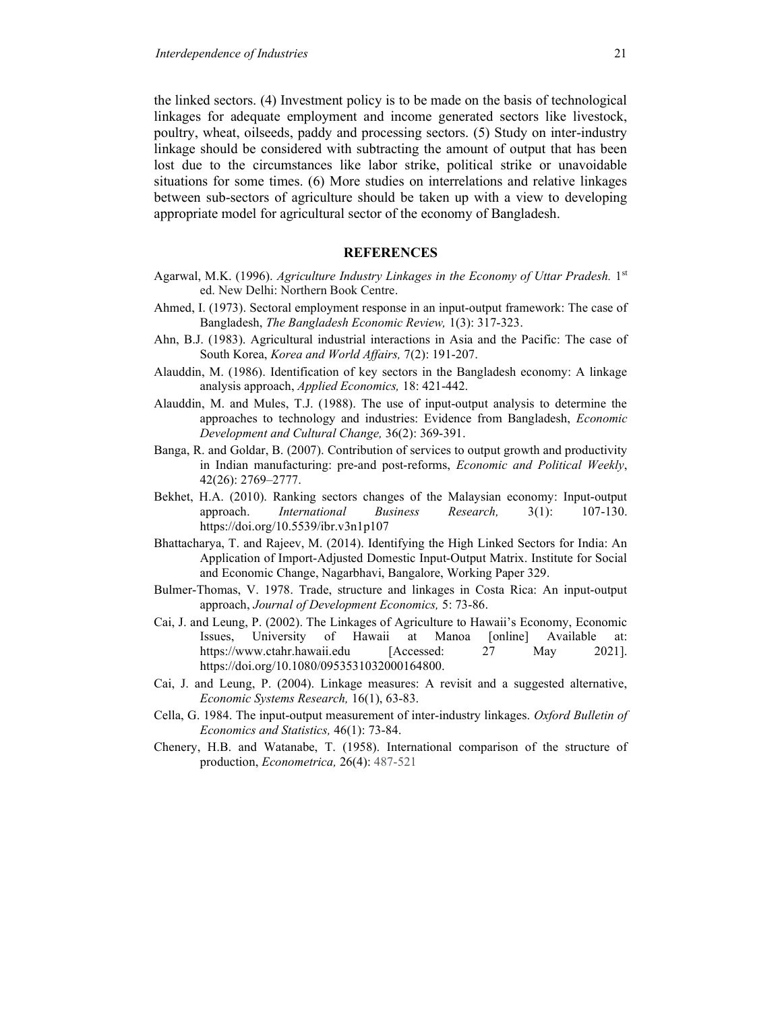the linked sectors. (4) Investment policy is to be made on the basis of technological linkages for adequate employment and income generated sectors like livestock, poultry, wheat, oilseeds, paddy and processing sectors. (5) Study on inter-industry linkage should be considered with subtracting the amount of output that has been lost due to the circumstances like labor strike, political strike or unavoidable situations for some times. (6) More studies on interrelations and relative linkages between sub-sectors of agriculture should be taken up with a view to developing appropriate model for agricultural sector of the economy of Bangladesh.

#### REFERENCES

- Agarwal, M.K. (1996). Agriculture Industry Linkages in the Economy of Uttar Pradesh. 1st ed. New Delhi: Northern Book Centre.
- Ahmed, I. (1973). Sectoral employment response in an input-output framework: The case of Bangladesh, The Bangladesh Economic Review, 1(3): 317-323.
- Ahn, B.J. (1983). Agricultural industrial interactions in Asia and the Pacific: The case of South Korea, Korea and World Affairs, 7(2): 191-207.
- Alauddin, M. (1986). Identification of key sectors in the Bangladesh economy: A linkage analysis approach, Applied Economics, 18: 421-442.
- Alauddin, M. and Mules, T.J. (1988). The use of input-output analysis to determine the approaches to technology and industries: Evidence from Bangladesh, Economic Development and Cultural Change, 36(2): 369-391.
- Banga, R. and Goldar, B. (2007). Contribution of services to output growth and productivity in Indian manufacturing: pre-and post-reforms, Economic and Political Weekly, 42(26): 2769–2777.
- Bekhet, H.A. (2010). Ranking sectors changes of the Malaysian economy: Input-output approach. *International Business Research*, 3(1): 107-130. https://doi.org/10.5539/ibr.v3n1p107
- Bhattacharya, T. and Rajeev, M. (2014). Identifying the High Linked Sectors for India: An Application of Import-Adjusted Domestic Input-Output Matrix. Institute for Social and Economic Change, Nagarbhavi, Bangalore, Working Paper 329.
- Bulmer-Thomas, V. 1978. Trade, structure and linkages in Costa Rica: An input-output approach, Journal of Development Economics, 5: 73-86.
- Cai, J. and Leung, P. (2002). The Linkages of Agriculture to Hawaii's Economy, Economic Issues, University of Hawaii at Manoa [online] Available at: https://www.ctahr.hawaii.edu [Accessed: 27 May 2021]. https://doi.org/10.1080/0953531032000164800.
- Cai, J. and Leung, P. (2004). Linkage measures: A revisit and a suggested alternative, Economic Systems Research, 16(1), 63-83.
- Cella, G. 1984. The input-output measurement of inter-industry linkages. Oxford Bulletin of Economics and Statistics, 46(1): 73-84.
- Chenery, H.B. and Watanabe, T. (1958). International comparison of the structure of production, Econometrica, 26(4): 487-521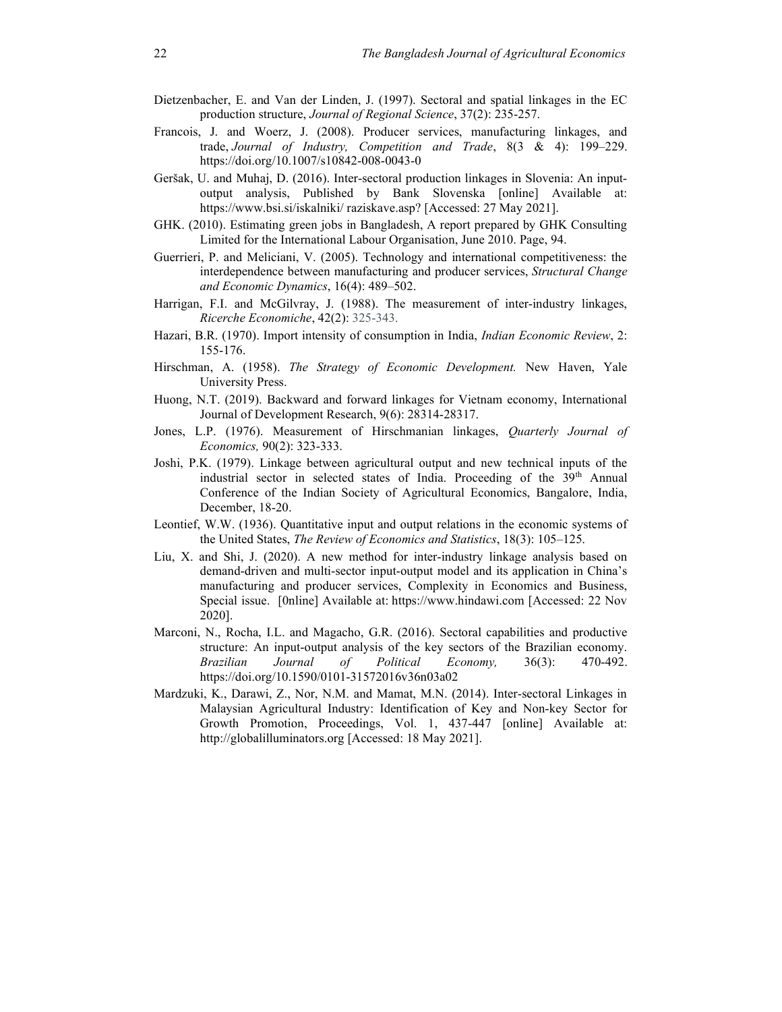- Dietzenbacher, E. and Van der Linden, J. (1997). Sectoral and spatial linkages in the EC production structure, Journal of Regional Science, 37(2): 235-257.
- Francois, J. and Woerz, J. (2008). Producer services, manufacturing linkages, and trade, Journal of Industry, Competition and Trade, 8(3 & 4): 199–229. https://doi.org/10.1007/s10842-008-0043-0
- Geršak, U. and Muhaj, D. (2016). Inter-sectoral production linkages in Slovenia: An inputoutput analysis, Published by Bank Slovenska [online] Available at: https://www.bsi.si/iskalniki/ raziskave.asp? [Accessed: 27 May 2021].
- GHK. (2010). Estimating green jobs in Bangladesh, A report prepared by GHK Consulting Limited for the International Labour Organisation, June 2010. Page, 94.
- Guerrieri, P. and Meliciani, V. (2005). Technology and international competitiveness: the interdependence between manufacturing and producer services, Structural Change and Economic Dynamics, 16(4): 489–502.
- Harrigan, F.I. and McGilvray, J. (1988). The measurement of inter-industry linkages, Ricerche Economiche, 42(2): 325-343.
- Hazari, B.R. (1970). Import intensity of consumption in India, Indian Economic Review, 2: 155-176.
- Hirschman, A. (1958). The Strategy of Economic Development. New Haven, Yale University Press.
- Huong, N.T. (2019). Backward and forward linkages for Vietnam economy, International Journal of Development Research, 9(6): 28314-28317.
- Jones, L.P. (1976). Measurement of Hirschmanian linkages, *Ouarterly Journal of* Economics, 90(2): 323-333.
- Joshi, P.K. (1979). Linkage between agricultural output and new technical inputs of the industrial sector in selected states of India. Proceeding of the 39<sup>th</sup> Annual Conference of the Indian Society of Agricultural Economics, Bangalore, India, December, 18-20.
- Leontief, W.W. (1936). Quantitative input and output relations in the economic systems of the United States, The Review of Economics and Statistics, 18(3): 105–125.
- Liu, X. and Shi, J. (2020). A new method for inter-industry linkage analysis based on demand-driven and multi-sector input-output model and its application in China's manufacturing and producer services, Complexity in Economics and Business, Special issue. [0nline] Available at: https://www.hindawi.com [Accessed: 22 Nov 2020].
- Marconi, N., Rocha, I.L. and Magacho, G.R. (2016). Sectoral capabilities and productive structure: An input-output analysis of the key sectors of the Brazilian economy. Brazilian Journal of Political Economy, 36(3): 470-492. https://doi.org/10.1590/0101-31572016v36n03a02
- Mardzuki, K., Darawi, Z., Nor, N.M. and Mamat, M.N. (2014). Inter-sectoral Linkages in Malaysian Agricultural Industry: Identification of Key and Non-key Sector for Growth Promotion, Proceedings, Vol. 1, 437-447 [online] Available at: http://globalilluminators.org [Accessed: 18 May 2021].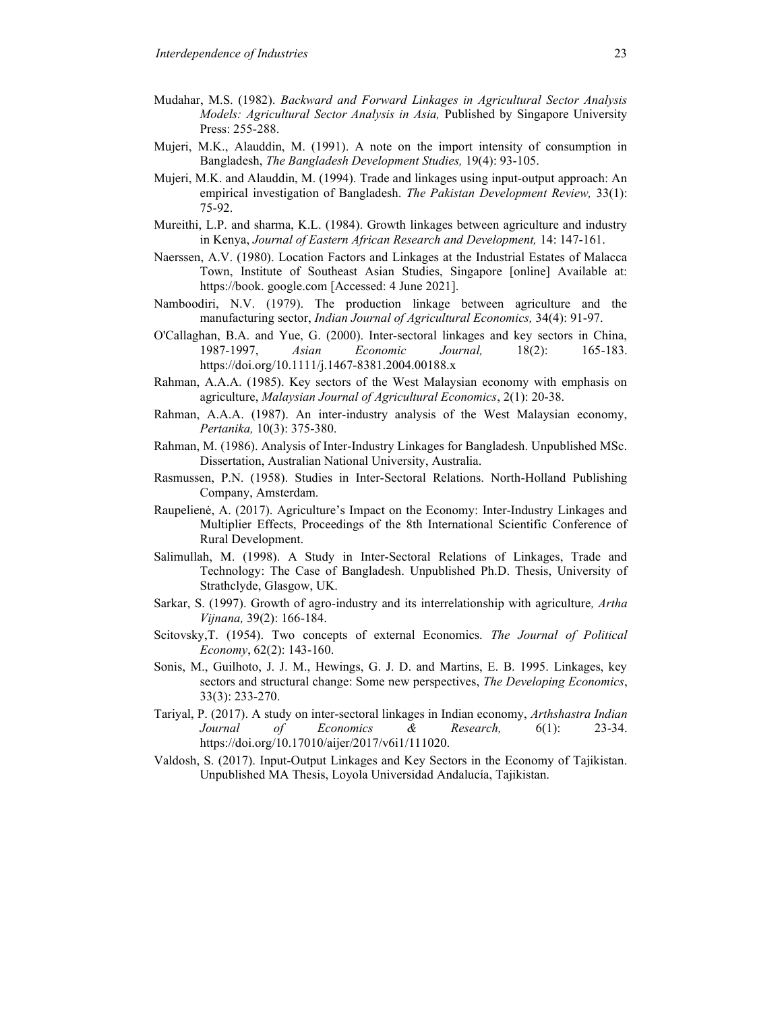- Mudahar, M.S. (1982). Backward and Forward Linkages in Agricultural Sector Analysis Models: Agricultural Sector Analysis in Asia, Published by Singapore University Press: 255-288.
- Mujeri, M.K., Alauddin, M. (1991). A note on the import intensity of consumption in Bangladesh, The Bangladesh Development Studies, 19(4): 93-105.
- Mujeri, M.K. and Alauddin, M. (1994). Trade and linkages using input-output approach: An empirical investigation of Bangladesh. The Pakistan Development Review, 33(1): 75-92.
- Mureithi, L.P. and sharma, K.L. (1984). Growth linkages between agriculture and industry in Kenya, Journal of Eastern African Research and Development, 14: 147-161.
- Naerssen, A.V. (1980). Location Factors and Linkages at the Industrial Estates of Malacca Town, Institute of Southeast Asian Studies, Singapore [online] Available at: https://book. google.com [Accessed: 4 June 2021].
- Namboodiri, N.V. (1979). The production linkage between agriculture and the manufacturing sector, Indian Journal of Agricultural Economics, 34(4): 91-97.
- O'Callaghan, B.A. and Yue, G. (2000). Inter-sectoral linkages and key sectors in China, 1987-1997, Asian Economic Journal, 18(2): 165-183. https://doi.org/10.1111/j.1467-8381.2004.00188.x
- Rahman, A.A.A. (1985). Key sectors of the West Malaysian economy with emphasis on agriculture, Malaysian Journal of Agricultural Economics, 2(1): 20-38.
- Rahman, A.A.A. (1987). An inter-industry analysis of the West Malaysian economy, Pertanika, 10(3): 375-380.
- Rahman, M. (1986). Analysis of Inter-Industry Linkages for Bangladesh. Unpublished MSc. Dissertation, Australian National University, Australia.
- Rasmussen, P.N. (1958). Studies in Inter-Sectoral Relations. North-Holland Publishing Company, Amsterdam.
- Raupelienė, A. (2017). Agriculture's Impact on the Economy: Inter-Industry Linkages and Multiplier Effects, Proceedings of the 8th International Scientific Conference of Rural Development.
- Salimullah, M. (1998). A Study in Inter-Sectoral Relations of Linkages, Trade and Technology: The Case of Bangladesh. Unpublished Ph.D. Thesis, University of Strathclyde, Glasgow, UK.
- Sarkar, S. (1997). Growth of agro-industry and its interrelationship with agriculture, Artha Vijnana, 39(2): 166-184.
- Scitovsky,T. (1954). Two concepts of external Economics. The Journal of Political Economy, 62(2): 143-160.
- Sonis, M., Guilhoto, J. J. M., Hewings, G. J. D. and Martins, E. B. 1995. Linkages, key sectors and structural change: Some new perspectives, The Developing Economics, 33(3): 233-270.
- Tariyal, P. (2017). A study on inter-sectoral linkages in Indian economy, Arthshastra Indian Journal of Economics & Research, 6(1): 23-34. https://doi.org/10.17010/aijer/2017/v6i1/111020.
- Valdosh, S. (2017). Input-Output Linkages and Key Sectors in the Economy of Tajikistan. Unpublished MA Thesis, Loyola Universidad Andalucía, Tajikistan.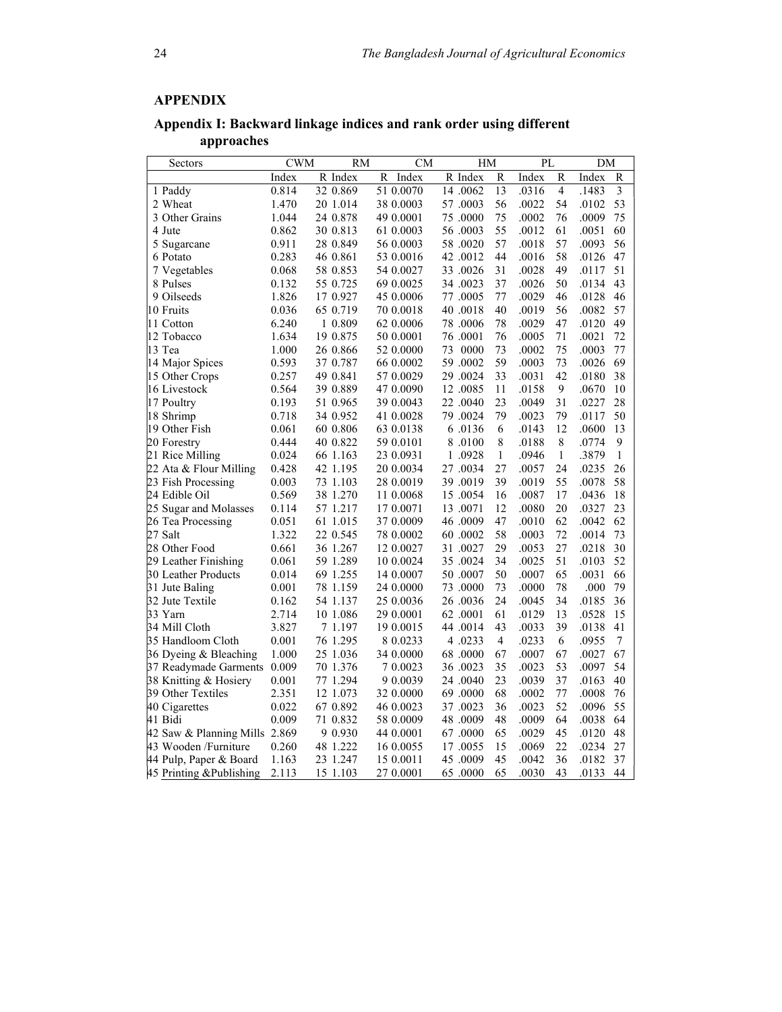# APPENDIX

Appendix I: Backward linkage indices and rank order using different approaches

| R Index<br>Index<br>R Index<br>R<br>Index<br>R<br>Index<br>R<br>Index<br>R<br>13<br>$\overline{4}$<br>3<br>0.814<br>32 0.869<br>51 0.0070<br>14.0062<br>.0316<br>.1483<br>1 Paddy<br>56<br>54<br>53<br>2 Wheat<br>1.470<br>20 1.014<br>38 0.0003<br>57.0003<br>.0022<br>.0102<br>1.044<br>24 0.878<br>49 0.0001<br>75.0000<br>75<br>.0002<br>76<br>.0009<br>75<br>3 Other Grains<br>55<br>60<br>0.862<br>.0012<br>61<br>4 Jute<br>30 0.813<br>61 0.0003<br>56.0003<br>.0051<br>57<br>57<br>56<br>0.911<br>28 0.849<br>56 0.0003<br>58.0020<br>.0018<br>.0093<br>5 Sugarcane<br>44<br>58<br>6 Potato<br>0.283<br>46 0.861<br>53 0.0016<br>42 .0012<br>.0016<br>.0126<br>47<br>31<br>49<br>51<br>0.068<br>58 0.853<br>54 0.0027<br>33.0026<br>.0028<br>.0117<br>7 Vegetables<br>55 0.725<br>37<br>50<br>43<br>8 Pulses<br>0.132<br>69 0.0025<br>34.0023<br>.0026<br>.0134<br>1.826<br>9 Oilseeds<br>17 0.927<br>45 0.0006<br>77.0005<br>77<br>.0029<br>46<br>.0128<br>46<br>40<br>56<br>57<br>10 Fruits<br>0.036<br>65 0.719<br>70 0.0018<br>40.0018<br>.0019<br>.0082<br>78<br>47<br>49<br>11 Cotton<br>6.240<br>1 0.809<br>62 0.0006<br>78.0006<br>.0029<br>.0120<br>1.634<br>76<br>71<br>72<br>12 Tobacco<br>19 0.875<br>50 0.0001<br>76.0001<br>.0005<br>.0021<br>73<br>13 Tea<br>1.000<br>73<br>0000<br>75<br>.0003<br>77<br>26 0.866<br>52 0.0000<br>.0002<br>59<br>73<br>69<br>14 Major Spices<br>0.593<br>59.0002<br>.0003<br>.0026<br>37 0.787<br>66 0.0002<br>29.0024<br>33<br>42<br>38<br>15 Other Crops<br>0.257<br>49 0.841<br>57 0.0029<br>.0031<br>.0180<br>0.564<br>11<br>9<br>10<br>16 Livestock<br>39 0.889<br>47 0.0090<br>12.0085<br>.0158<br>.0670<br>28<br>23<br>31<br>17 Poultry<br>0.193<br>51 0.965<br>39 0.0043<br>22.0040<br>.0049<br>.0227<br>79<br>50<br>18 Shrimp<br>0.718<br>34 0.952<br>79.0024<br>.0023<br>79<br>.0117<br>41 0.0028<br>60 0.806<br>6<br>12<br>.0600<br>13<br>19 Other Fish<br>0.061<br>63 0.0138<br>6.0136<br>.0143<br>8<br>8<br>.0774<br>9<br>20 Forestry<br>0.444<br>40 0.822<br>59 0.0101<br>8.0100<br>.0188<br>21 Rice Milling<br>0.024<br>$\mathbf{1}$<br>.0946<br>$\mathbf{1}$<br>.3879<br>$\mathbf{1}$<br>66 1.163<br>23 0.0931<br>1.0928<br>27<br>22 Ata & Flour Milling<br>0.428<br>24<br>.0235<br>26<br>42 1.195<br>20 0.0034<br>27.0034<br>.0057<br>39<br>55<br>58<br>0.003<br>28 0.0019<br>39.0019<br>.0019<br>.0078<br>23 Fish Processing<br>73 1.103<br>24 Edible Oil<br>0.569<br>38 1.270<br>16<br>17<br>.0436<br>18<br>11 0.0068<br>15.0054<br>.0087<br>12<br>20<br>23<br>25 Sugar and Molasses<br>0.114<br>57 1.217<br>17 0.0071<br>13.0071<br>.0080<br>.0327<br>46.0009<br>47<br>62<br>.0042<br>62<br>26 Tea Processing<br>0.051<br>61 1.015<br>37 0.0009<br>.0010<br>58<br>72<br>27 Salt<br>1.322<br>22 0.545<br>60.0002<br>.0014<br>73<br>78 0.0002<br>.0003<br>29<br>27<br>30<br>28 Other Food<br>0.661<br>36 1.267<br>.0053<br>12 0.0027<br>31.0027<br>.0218<br>29 Leather Finishing<br>59 1.289<br>34<br>51<br>52<br>0.061<br>10 0.0024<br>35.0024<br>.0025<br>.0103<br>30 Leather Products<br>69 1.255<br>50<br>65<br>66<br>0.014<br>14 0.0007<br>50.0007<br>.0007<br>.0031<br>73<br>79<br>78 1.159<br>78<br>.000<br>31 Jute Baling<br>0.001<br>24 0.0000<br>73.0000<br>.0000<br>32 Jute Textile<br>0.162<br>54 1.137<br>25 0.0036<br>26.0036<br>24<br>.0045<br>34<br>.0185<br>36<br>61<br>33 Yarn<br>2.714<br>10 1.086<br>29 0.0001<br>62 .0001<br>.0129<br>13<br>.0528<br>15<br>34 Mill Cloth<br>43<br>39<br>41<br>3.827<br>7 1.197<br>19 0.0015<br>44 .0014<br>.0033<br>.0138<br>76 1.295<br>4<br>.0233<br>6<br>.0955<br>7<br>35 Handloom Cloth<br>0.001<br>8 0.0233<br>4.0233<br>67<br>67<br>36 Dyeing & Bleaching<br>1.000<br>25 1.036<br>34 0.0000<br>68.0000<br>67<br>.0007<br>.0027<br>53<br>54<br>37 Readymade Garments<br>70 1.376<br>7 0.0023<br>35<br>.0023<br>.0097<br>0.009<br>36.0023<br>23<br>37<br>40<br>38 Knitting & Hosiery<br>0.001<br>77 1.294<br>9 0.0039<br>24.0040<br>.0039<br>.0163<br>39 Other Textiles<br>2.351<br>69.0000<br>68<br>77<br>76<br>12 1.073<br>32 0.0000<br>.0002<br>.0008<br>52<br>36<br>55<br>40 Cigarettes<br>0.022<br>67 0.892<br>46 0.0023<br>37.0023<br>.0023<br>.0096<br>64<br>41 Bidi<br>0.009<br>71 0.832<br>58 0.0009<br>48.0009<br>48<br>.0009<br>.0038<br>64 | Sectors                 | <b>CWM</b> | <b>RM</b> | <b>CM</b> | HM | PL | DM |  |
|------------------------------------------------------------------------------------------------------------------------------------------------------------------------------------------------------------------------------------------------------------------------------------------------------------------------------------------------------------------------------------------------------------------------------------------------------------------------------------------------------------------------------------------------------------------------------------------------------------------------------------------------------------------------------------------------------------------------------------------------------------------------------------------------------------------------------------------------------------------------------------------------------------------------------------------------------------------------------------------------------------------------------------------------------------------------------------------------------------------------------------------------------------------------------------------------------------------------------------------------------------------------------------------------------------------------------------------------------------------------------------------------------------------------------------------------------------------------------------------------------------------------------------------------------------------------------------------------------------------------------------------------------------------------------------------------------------------------------------------------------------------------------------------------------------------------------------------------------------------------------------------------------------------------------------------------------------------------------------------------------------------------------------------------------------------------------------------------------------------------------------------------------------------------------------------------------------------------------------------------------------------------------------------------------------------------------------------------------------------------------------------------------------------------------------------------------------------------------------------------------------------------------------------------------------------------------------------------------------------------------------------------------------------------------------------------------------------------------------------------------------------------------------------------------------------------------------------------------------------------------------------------------------------------------------------------------------------------------------------------------------------------------------------------------------------------------------------------------------------------------------------------------------------------------------------------------------------------------------------------------------------------------------------------------------------------------------------------------------------------------------------------------------------------------------------------------------------------------------------------------------------------------------------------------------------------------------------------------------------------------------------------------------------------------------------------------------------------------------------------------------------------------------------------------------------------------------------------------------------------------------------------------------------------------------------------------------------------------------------------------------------------------------------------------------------------------------------------------------------------------------------------------------------------------------------------------------------------------------------------------------------------------------------|-------------------------|------------|-----------|-----------|----|----|----|--|
|                                                                                                                                                                                                                                                                                                                                                                                                                                                                                                                                                                                                                                                                                                                                                                                                                                                                                                                                                                                                                                                                                                                                                                                                                                                                                                                                                                                                                                                                                                                                                                                                                                                                                                                                                                                                                                                                                                                                                                                                                                                                                                                                                                                                                                                                                                                                                                                                                                                                                                                                                                                                                                                                                                                                                                                                                                                                                                                                                                                                                                                                                                                                                                                                                                                                                                                                                                                                                                                                                                                                                                                                                                                                                                                                                                                                                                                                                                                                                                                                                                                                                                                                                                                                                                                                                          |                         |            |           |           |    |    |    |  |
|                                                                                                                                                                                                                                                                                                                                                                                                                                                                                                                                                                                                                                                                                                                                                                                                                                                                                                                                                                                                                                                                                                                                                                                                                                                                                                                                                                                                                                                                                                                                                                                                                                                                                                                                                                                                                                                                                                                                                                                                                                                                                                                                                                                                                                                                                                                                                                                                                                                                                                                                                                                                                                                                                                                                                                                                                                                                                                                                                                                                                                                                                                                                                                                                                                                                                                                                                                                                                                                                                                                                                                                                                                                                                                                                                                                                                                                                                                                                                                                                                                                                                                                                                                                                                                                                                          |                         |            |           |           |    |    |    |  |
|                                                                                                                                                                                                                                                                                                                                                                                                                                                                                                                                                                                                                                                                                                                                                                                                                                                                                                                                                                                                                                                                                                                                                                                                                                                                                                                                                                                                                                                                                                                                                                                                                                                                                                                                                                                                                                                                                                                                                                                                                                                                                                                                                                                                                                                                                                                                                                                                                                                                                                                                                                                                                                                                                                                                                                                                                                                                                                                                                                                                                                                                                                                                                                                                                                                                                                                                                                                                                                                                                                                                                                                                                                                                                                                                                                                                                                                                                                                                                                                                                                                                                                                                                                                                                                                                                          |                         |            |           |           |    |    |    |  |
|                                                                                                                                                                                                                                                                                                                                                                                                                                                                                                                                                                                                                                                                                                                                                                                                                                                                                                                                                                                                                                                                                                                                                                                                                                                                                                                                                                                                                                                                                                                                                                                                                                                                                                                                                                                                                                                                                                                                                                                                                                                                                                                                                                                                                                                                                                                                                                                                                                                                                                                                                                                                                                                                                                                                                                                                                                                                                                                                                                                                                                                                                                                                                                                                                                                                                                                                                                                                                                                                                                                                                                                                                                                                                                                                                                                                                                                                                                                                                                                                                                                                                                                                                                                                                                                                                          |                         |            |           |           |    |    |    |  |
|                                                                                                                                                                                                                                                                                                                                                                                                                                                                                                                                                                                                                                                                                                                                                                                                                                                                                                                                                                                                                                                                                                                                                                                                                                                                                                                                                                                                                                                                                                                                                                                                                                                                                                                                                                                                                                                                                                                                                                                                                                                                                                                                                                                                                                                                                                                                                                                                                                                                                                                                                                                                                                                                                                                                                                                                                                                                                                                                                                                                                                                                                                                                                                                                                                                                                                                                                                                                                                                                                                                                                                                                                                                                                                                                                                                                                                                                                                                                                                                                                                                                                                                                                                                                                                                                                          |                         |            |           |           |    |    |    |  |
|                                                                                                                                                                                                                                                                                                                                                                                                                                                                                                                                                                                                                                                                                                                                                                                                                                                                                                                                                                                                                                                                                                                                                                                                                                                                                                                                                                                                                                                                                                                                                                                                                                                                                                                                                                                                                                                                                                                                                                                                                                                                                                                                                                                                                                                                                                                                                                                                                                                                                                                                                                                                                                                                                                                                                                                                                                                                                                                                                                                                                                                                                                                                                                                                                                                                                                                                                                                                                                                                                                                                                                                                                                                                                                                                                                                                                                                                                                                                                                                                                                                                                                                                                                                                                                                                                          |                         |            |           |           |    |    |    |  |
|                                                                                                                                                                                                                                                                                                                                                                                                                                                                                                                                                                                                                                                                                                                                                                                                                                                                                                                                                                                                                                                                                                                                                                                                                                                                                                                                                                                                                                                                                                                                                                                                                                                                                                                                                                                                                                                                                                                                                                                                                                                                                                                                                                                                                                                                                                                                                                                                                                                                                                                                                                                                                                                                                                                                                                                                                                                                                                                                                                                                                                                                                                                                                                                                                                                                                                                                                                                                                                                                                                                                                                                                                                                                                                                                                                                                                                                                                                                                                                                                                                                                                                                                                                                                                                                                                          |                         |            |           |           |    |    |    |  |
|                                                                                                                                                                                                                                                                                                                                                                                                                                                                                                                                                                                                                                                                                                                                                                                                                                                                                                                                                                                                                                                                                                                                                                                                                                                                                                                                                                                                                                                                                                                                                                                                                                                                                                                                                                                                                                                                                                                                                                                                                                                                                                                                                                                                                                                                                                                                                                                                                                                                                                                                                                                                                                                                                                                                                                                                                                                                                                                                                                                                                                                                                                                                                                                                                                                                                                                                                                                                                                                                                                                                                                                                                                                                                                                                                                                                                                                                                                                                                                                                                                                                                                                                                                                                                                                                                          |                         |            |           |           |    |    |    |  |
|                                                                                                                                                                                                                                                                                                                                                                                                                                                                                                                                                                                                                                                                                                                                                                                                                                                                                                                                                                                                                                                                                                                                                                                                                                                                                                                                                                                                                                                                                                                                                                                                                                                                                                                                                                                                                                                                                                                                                                                                                                                                                                                                                                                                                                                                                                                                                                                                                                                                                                                                                                                                                                                                                                                                                                                                                                                                                                                                                                                                                                                                                                                                                                                                                                                                                                                                                                                                                                                                                                                                                                                                                                                                                                                                                                                                                                                                                                                                                                                                                                                                                                                                                                                                                                                                                          |                         |            |           |           |    |    |    |  |
|                                                                                                                                                                                                                                                                                                                                                                                                                                                                                                                                                                                                                                                                                                                                                                                                                                                                                                                                                                                                                                                                                                                                                                                                                                                                                                                                                                                                                                                                                                                                                                                                                                                                                                                                                                                                                                                                                                                                                                                                                                                                                                                                                                                                                                                                                                                                                                                                                                                                                                                                                                                                                                                                                                                                                                                                                                                                                                                                                                                                                                                                                                                                                                                                                                                                                                                                                                                                                                                                                                                                                                                                                                                                                                                                                                                                                                                                                                                                                                                                                                                                                                                                                                                                                                                                                          |                         |            |           |           |    |    |    |  |
|                                                                                                                                                                                                                                                                                                                                                                                                                                                                                                                                                                                                                                                                                                                                                                                                                                                                                                                                                                                                                                                                                                                                                                                                                                                                                                                                                                                                                                                                                                                                                                                                                                                                                                                                                                                                                                                                                                                                                                                                                                                                                                                                                                                                                                                                                                                                                                                                                                                                                                                                                                                                                                                                                                                                                                                                                                                                                                                                                                                                                                                                                                                                                                                                                                                                                                                                                                                                                                                                                                                                                                                                                                                                                                                                                                                                                                                                                                                                                                                                                                                                                                                                                                                                                                                                                          |                         |            |           |           |    |    |    |  |
|                                                                                                                                                                                                                                                                                                                                                                                                                                                                                                                                                                                                                                                                                                                                                                                                                                                                                                                                                                                                                                                                                                                                                                                                                                                                                                                                                                                                                                                                                                                                                                                                                                                                                                                                                                                                                                                                                                                                                                                                                                                                                                                                                                                                                                                                                                                                                                                                                                                                                                                                                                                                                                                                                                                                                                                                                                                                                                                                                                                                                                                                                                                                                                                                                                                                                                                                                                                                                                                                                                                                                                                                                                                                                                                                                                                                                                                                                                                                                                                                                                                                                                                                                                                                                                                                                          |                         |            |           |           |    |    |    |  |
|                                                                                                                                                                                                                                                                                                                                                                                                                                                                                                                                                                                                                                                                                                                                                                                                                                                                                                                                                                                                                                                                                                                                                                                                                                                                                                                                                                                                                                                                                                                                                                                                                                                                                                                                                                                                                                                                                                                                                                                                                                                                                                                                                                                                                                                                                                                                                                                                                                                                                                                                                                                                                                                                                                                                                                                                                                                                                                                                                                                                                                                                                                                                                                                                                                                                                                                                                                                                                                                                                                                                                                                                                                                                                                                                                                                                                                                                                                                                                                                                                                                                                                                                                                                                                                                                                          |                         |            |           |           |    |    |    |  |
|                                                                                                                                                                                                                                                                                                                                                                                                                                                                                                                                                                                                                                                                                                                                                                                                                                                                                                                                                                                                                                                                                                                                                                                                                                                                                                                                                                                                                                                                                                                                                                                                                                                                                                                                                                                                                                                                                                                                                                                                                                                                                                                                                                                                                                                                                                                                                                                                                                                                                                                                                                                                                                                                                                                                                                                                                                                                                                                                                                                                                                                                                                                                                                                                                                                                                                                                                                                                                                                                                                                                                                                                                                                                                                                                                                                                                                                                                                                                                                                                                                                                                                                                                                                                                                                                                          |                         |            |           |           |    |    |    |  |
|                                                                                                                                                                                                                                                                                                                                                                                                                                                                                                                                                                                                                                                                                                                                                                                                                                                                                                                                                                                                                                                                                                                                                                                                                                                                                                                                                                                                                                                                                                                                                                                                                                                                                                                                                                                                                                                                                                                                                                                                                                                                                                                                                                                                                                                                                                                                                                                                                                                                                                                                                                                                                                                                                                                                                                                                                                                                                                                                                                                                                                                                                                                                                                                                                                                                                                                                                                                                                                                                                                                                                                                                                                                                                                                                                                                                                                                                                                                                                                                                                                                                                                                                                                                                                                                                                          |                         |            |           |           |    |    |    |  |
|                                                                                                                                                                                                                                                                                                                                                                                                                                                                                                                                                                                                                                                                                                                                                                                                                                                                                                                                                                                                                                                                                                                                                                                                                                                                                                                                                                                                                                                                                                                                                                                                                                                                                                                                                                                                                                                                                                                                                                                                                                                                                                                                                                                                                                                                                                                                                                                                                                                                                                                                                                                                                                                                                                                                                                                                                                                                                                                                                                                                                                                                                                                                                                                                                                                                                                                                                                                                                                                                                                                                                                                                                                                                                                                                                                                                                                                                                                                                                                                                                                                                                                                                                                                                                                                                                          |                         |            |           |           |    |    |    |  |
|                                                                                                                                                                                                                                                                                                                                                                                                                                                                                                                                                                                                                                                                                                                                                                                                                                                                                                                                                                                                                                                                                                                                                                                                                                                                                                                                                                                                                                                                                                                                                                                                                                                                                                                                                                                                                                                                                                                                                                                                                                                                                                                                                                                                                                                                                                                                                                                                                                                                                                                                                                                                                                                                                                                                                                                                                                                                                                                                                                                                                                                                                                                                                                                                                                                                                                                                                                                                                                                                                                                                                                                                                                                                                                                                                                                                                                                                                                                                                                                                                                                                                                                                                                                                                                                                                          |                         |            |           |           |    |    |    |  |
|                                                                                                                                                                                                                                                                                                                                                                                                                                                                                                                                                                                                                                                                                                                                                                                                                                                                                                                                                                                                                                                                                                                                                                                                                                                                                                                                                                                                                                                                                                                                                                                                                                                                                                                                                                                                                                                                                                                                                                                                                                                                                                                                                                                                                                                                                                                                                                                                                                                                                                                                                                                                                                                                                                                                                                                                                                                                                                                                                                                                                                                                                                                                                                                                                                                                                                                                                                                                                                                                                                                                                                                                                                                                                                                                                                                                                                                                                                                                                                                                                                                                                                                                                                                                                                                                                          |                         |            |           |           |    |    |    |  |
|                                                                                                                                                                                                                                                                                                                                                                                                                                                                                                                                                                                                                                                                                                                                                                                                                                                                                                                                                                                                                                                                                                                                                                                                                                                                                                                                                                                                                                                                                                                                                                                                                                                                                                                                                                                                                                                                                                                                                                                                                                                                                                                                                                                                                                                                                                                                                                                                                                                                                                                                                                                                                                                                                                                                                                                                                                                                                                                                                                                                                                                                                                                                                                                                                                                                                                                                                                                                                                                                                                                                                                                                                                                                                                                                                                                                                                                                                                                                                                                                                                                                                                                                                                                                                                                                                          |                         |            |           |           |    |    |    |  |
|                                                                                                                                                                                                                                                                                                                                                                                                                                                                                                                                                                                                                                                                                                                                                                                                                                                                                                                                                                                                                                                                                                                                                                                                                                                                                                                                                                                                                                                                                                                                                                                                                                                                                                                                                                                                                                                                                                                                                                                                                                                                                                                                                                                                                                                                                                                                                                                                                                                                                                                                                                                                                                                                                                                                                                                                                                                                                                                                                                                                                                                                                                                                                                                                                                                                                                                                                                                                                                                                                                                                                                                                                                                                                                                                                                                                                                                                                                                                                                                                                                                                                                                                                                                                                                                                                          |                         |            |           |           |    |    |    |  |
|                                                                                                                                                                                                                                                                                                                                                                                                                                                                                                                                                                                                                                                                                                                                                                                                                                                                                                                                                                                                                                                                                                                                                                                                                                                                                                                                                                                                                                                                                                                                                                                                                                                                                                                                                                                                                                                                                                                                                                                                                                                                                                                                                                                                                                                                                                                                                                                                                                                                                                                                                                                                                                                                                                                                                                                                                                                                                                                                                                                                                                                                                                                                                                                                                                                                                                                                                                                                                                                                                                                                                                                                                                                                                                                                                                                                                                                                                                                                                                                                                                                                                                                                                                                                                                                                                          |                         |            |           |           |    |    |    |  |
|                                                                                                                                                                                                                                                                                                                                                                                                                                                                                                                                                                                                                                                                                                                                                                                                                                                                                                                                                                                                                                                                                                                                                                                                                                                                                                                                                                                                                                                                                                                                                                                                                                                                                                                                                                                                                                                                                                                                                                                                                                                                                                                                                                                                                                                                                                                                                                                                                                                                                                                                                                                                                                                                                                                                                                                                                                                                                                                                                                                                                                                                                                                                                                                                                                                                                                                                                                                                                                                                                                                                                                                                                                                                                                                                                                                                                                                                                                                                                                                                                                                                                                                                                                                                                                                                                          |                         |            |           |           |    |    |    |  |
|                                                                                                                                                                                                                                                                                                                                                                                                                                                                                                                                                                                                                                                                                                                                                                                                                                                                                                                                                                                                                                                                                                                                                                                                                                                                                                                                                                                                                                                                                                                                                                                                                                                                                                                                                                                                                                                                                                                                                                                                                                                                                                                                                                                                                                                                                                                                                                                                                                                                                                                                                                                                                                                                                                                                                                                                                                                                                                                                                                                                                                                                                                                                                                                                                                                                                                                                                                                                                                                                                                                                                                                                                                                                                                                                                                                                                                                                                                                                                                                                                                                                                                                                                                                                                                                                                          |                         |            |           |           |    |    |    |  |
|                                                                                                                                                                                                                                                                                                                                                                                                                                                                                                                                                                                                                                                                                                                                                                                                                                                                                                                                                                                                                                                                                                                                                                                                                                                                                                                                                                                                                                                                                                                                                                                                                                                                                                                                                                                                                                                                                                                                                                                                                                                                                                                                                                                                                                                                                                                                                                                                                                                                                                                                                                                                                                                                                                                                                                                                                                                                                                                                                                                                                                                                                                                                                                                                                                                                                                                                                                                                                                                                                                                                                                                                                                                                                                                                                                                                                                                                                                                                                                                                                                                                                                                                                                                                                                                                                          |                         |            |           |           |    |    |    |  |
|                                                                                                                                                                                                                                                                                                                                                                                                                                                                                                                                                                                                                                                                                                                                                                                                                                                                                                                                                                                                                                                                                                                                                                                                                                                                                                                                                                                                                                                                                                                                                                                                                                                                                                                                                                                                                                                                                                                                                                                                                                                                                                                                                                                                                                                                                                                                                                                                                                                                                                                                                                                                                                                                                                                                                                                                                                                                                                                                                                                                                                                                                                                                                                                                                                                                                                                                                                                                                                                                                                                                                                                                                                                                                                                                                                                                                                                                                                                                                                                                                                                                                                                                                                                                                                                                                          |                         |            |           |           |    |    |    |  |
|                                                                                                                                                                                                                                                                                                                                                                                                                                                                                                                                                                                                                                                                                                                                                                                                                                                                                                                                                                                                                                                                                                                                                                                                                                                                                                                                                                                                                                                                                                                                                                                                                                                                                                                                                                                                                                                                                                                                                                                                                                                                                                                                                                                                                                                                                                                                                                                                                                                                                                                                                                                                                                                                                                                                                                                                                                                                                                                                                                                                                                                                                                                                                                                                                                                                                                                                                                                                                                                                                                                                                                                                                                                                                                                                                                                                                                                                                                                                                                                                                                                                                                                                                                                                                                                                                          |                         |            |           |           |    |    |    |  |
|                                                                                                                                                                                                                                                                                                                                                                                                                                                                                                                                                                                                                                                                                                                                                                                                                                                                                                                                                                                                                                                                                                                                                                                                                                                                                                                                                                                                                                                                                                                                                                                                                                                                                                                                                                                                                                                                                                                                                                                                                                                                                                                                                                                                                                                                                                                                                                                                                                                                                                                                                                                                                                                                                                                                                                                                                                                                                                                                                                                                                                                                                                                                                                                                                                                                                                                                                                                                                                                                                                                                                                                                                                                                                                                                                                                                                                                                                                                                                                                                                                                                                                                                                                                                                                                                                          |                         |            |           |           |    |    |    |  |
|                                                                                                                                                                                                                                                                                                                                                                                                                                                                                                                                                                                                                                                                                                                                                                                                                                                                                                                                                                                                                                                                                                                                                                                                                                                                                                                                                                                                                                                                                                                                                                                                                                                                                                                                                                                                                                                                                                                                                                                                                                                                                                                                                                                                                                                                                                                                                                                                                                                                                                                                                                                                                                                                                                                                                                                                                                                                                                                                                                                                                                                                                                                                                                                                                                                                                                                                                                                                                                                                                                                                                                                                                                                                                                                                                                                                                                                                                                                                                                                                                                                                                                                                                                                                                                                                                          |                         |            |           |           |    |    |    |  |
|                                                                                                                                                                                                                                                                                                                                                                                                                                                                                                                                                                                                                                                                                                                                                                                                                                                                                                                                                                                                                                                                                                                                                                                                                                                                                                                                                                                                                                                                                                                                                                                                                                                                                                                                                                                                                                                                                                                                                                                                                                                                                                                                                                                                                                                                                                                                                                                                                                                                                                                                                                                                                                                                                                                                                                                                                                                                                                                                                                                                                                                                                                                                                                                                                                                                                                                                                                                                                                                                                                                                                                                                                                                                                                                                                                                                                                                                                                                                                                                                                                                                                                                                                                                                                                                                                          |                         |            |           |           |    |    |    |  |
|                                                                                                                                                                                                                                                                                                                                                                                                                                                                                                                                                                                                                                                                                                                                                                                                                                                                                                                                                                                                                                                                                                                                                                                                                                                                                                                                                                                                                                                                                                                                                                                                                                                                                                                                                                                                                                                                                                                                                                                                                                                                                                                                                                                                                                                                                                                                                                                                                                                                                                                                                                                                                                                                                                                                                                                                                                                                                                                                                                                                                                                                                                                                                                                                                                                                                                                                                                                                                                                                                                                                                                                                                                                                                                                                                                                                                                                                                                                                                                                                                                                                                                                                                                                                                                                                                          |                         |            |           |           |    |    |    |  |
|                                                                                                                                                                                                                                                                                                                                                                                                                                                                                                                                                                                                                                                                                                                                                                                                                                                                                                                                                                                                                                                                                                                                                                                                                                                                                                                                                                                                                                                                                                                                                                                                                                                                                                                                                                                                                                                                                                                                                                                                                                                                                                                                                                                                                                                                                                                                                                                                                                                                                                                                                                                                                                                                                                                                                                                                                                                                                                                                                                                                                                                                                                                                                                                                                                                                                                                                                                                                                                                                                                                                                                                                                                                                                                                                                                                                                                                                                                                                                                                                                                                                                                                                                                                                                                                                                          |                         |            |           |           |    |    |    |  |
|                                                                                                                                                                                                                                                                                                                                                                                                                                                                                                                                                                                                                                                                                                                                                                                                                                                                                                                                                                                                                                                                                                                                                                                                                                                                                                                                                                                                                                                                                                                                                                                                                                                                                                                                                                                                                                                                                                                                                                                                                                                                                                                                                                                                                                                                                                                                                                                                                                                                                                                                                                                                                                                                                                                                                                                                                                                                                                                                                                                                                                                                                                                                                                                                                                                                                                                                                                                                                                                                                                                                                                                                                                                                                                                                                                                                                                                                                                                                                                                                                                                                                                                                                                                                                                                                                          |                         |            |           |           |    |    |    |  |
|                                                                                                                                                                                                                                                                                                                                                                                                                                                                                                                                                                                                                                                                                                                                                                                                                                                                                                                                                                                                                                                                                                                                                                                                                                                                                                                                                                                                                                                                                                                                                                                                                                                                                                                                                                                                                                                                                                                                                                                                                                                                                                                                                                                                                                                                                                                                                                                                                                                                                                                                                                                                                                                                                                                                                                                                                                                                                                                                                                                                                                                                                                                                                                                                                                                                                                                                                                                                                                                                                                                                                                                                                                                                                                                                                                                                                                                                                                                                                                                                                                                                                                                                                                                                                                                                                          |                         |            |           |           |    |    |    |  |
|                                                                                                                                                                                                                                                                                                                                                                                                                                                                                                                                                                                                                                                                                                                                                                                                                                                                                                                                                                                                                                                                                                                                                                                                                                                                                                                                                                                                                                                                                                                                                                                                                                                                                                                                                                                                                                                                                                                                                                                                                                                                                                                                                                                                                                                                                                                                                                                                                                                                                                                                                                                                                                                                                                                                                                                                                                                                                                                                                                                                                                                                                                                                                                                                                                                                                                                                                                                                                                                                                                                                                                                                                                                                                                                                                                                                                                                                                                                                                                                                                                                                                                                                                                                                                                                                                          |                         |            |           |           |    |    |    |  |
|                                                                                                                                                                                                                                                                                                                                                                                                                                                                                                                                                                                                                                                                                                                                                                                                                                                                                                                                                                                                                                                                                                                                                                                                                                                                                                                                                                                                                                                                                                                                                                                                                                                                                                                                                                                                                                                                                                                                                                                                                                                                                                                                                                                                                                                                                                                                                                                                                                                                                                                                                                                                                                                                                                                                                                                                                                                                                                                                                                                                                                                                                                                                                                                                                                                                                                                                                                                                                                                                                                                                                                                                                                                                                                                                                                                                                                                                                                                                                                                                                                                                                                                                                                                                                                                                                          |                         |            |           |           |    |    |    |  |
|                                                                                                                                                                                                                                                                                                                                                                                                                                                                                                                                                                                                                                                                                                                                                                                                                                                                                                                                                                                                                                                                                                                                                                                                                                                                                                                                                                                                                                                                                                                                                                                                                                                                                                                                                                                                                                                                                                                                                                                                                                                                                                                                                                                                                                                                                                                                                                                                                                                                                                                                                                                                                                                                                                                                                                                                                                                                                                                                                                                                                                                                                                                                                                                                                                                                                                                                                                                                                                                                                                                                                                                                                                                                                                                                                                                                                                                                                                                                                                                                                                                                                                                                                                                                                                                                                          |                         |            |           |           |    |    |    |  |
|                                                                                                                                                                                                                                                                                                                                                                                                                                                                                                                                                                                                                                                                                                                                                                                                                                                                                                                                                                                                                                                                                                                                                                                                                                                                                                                                                                                                                                                                                                                                                                                                                                                                                                                                                                                                                                                                                                                                                                                                                                                                                                                                                                                                                                                                                                                                                                                                                                                                                                                                                                                                                                                                                                                                                                                                                                                                                                                                                                                                                                                                                                                                                                                                                                                                                                                                                                                                                                                                                                                                                                                                                                                                                                                                                                                                                                                                                                                                                                                                                                                                                                                                                                                                                                                                                          |                         |            |           |           |    |    |    |  |
|                                                                                                                                                                                                                                                                                                                                                                                                                                                                                                                                                                                                                                                                                                                                                                                                                                                                                                                                                                                                                                                                                                                                                                                                                                                                                                                                                                                                                                                                                                                                                                                                                                                                                                                                                                                                                                                                                                                                                                                                                                                                                                                                                                                                                                                                                                                                                                                                                                                                                                                                                                                                                                                                                                                                                                                                                                                                                                                                                                                                                                                                                                                                                                                                                                                                                                                                                                                                                                                                                                                                                                                                                                                                                                                                                                                                                                                                                                                                                                                                                                                                                                                                                                                                                                                                                          |                         |            |           |           |    |    |    |  |
|                                                                                                                                                                                                                                                                                                                                                                                                                                                                                                                                                                                                                                                                                                                                                                                                                                                                                                                                                                                                                                                                                                                                                                                                                                                                                                                                                                                                                                                                                                                                                                                                                                                                                                                                                                                                                                                                                                                                                                                                                                                                                                                                                                                                                                                                                                                                                                                                                                                                                                                                                                                                                                                                                                                                                                                                                                                                                                                                                                                                                                                                                                                                                                                                                                                                                                                                                                                                                                                                                                                                                                                                                                                                                                                                                                                                                                                                                                                                                                                                                                                                                                                                                                                                                                                                                          |                         |            |           |           |    |    |    |  |
|                                                                                                                                                                                                                                                                                                                                                                                                                                                                                                                                                                                                                                                                                                                                                                                                                                                                                                                                                                                                                                                                                                                                                                                                                                                                                                                                                                                                                                                                                                                                                                                                                                                                                                                                                                                                                                                                                                                                                                                                                                                                                                                                                                                                                                                                                                                                                                                                                                                                                                                                                                                                                                                                                                                                                                                                                                                                                                                                                                                                                                                                                                                                                                                                                                                                                                                                                                                                                                                                                                                                                                                                                                                                                                                                                                                                                                                                                                                                                                                                                                                                                                                                                                                                                                                                                          |                         |            |           |           |    |    |    |  |
|                                                                                                                                                                                                                                                                                                                                                                                                                                                                                                                                                                                                                                                                                                                                                                                                                                                                                                                                                                                                                                                                                                                                                                                                                                                                                                                                                                                                                                                                                                                                                                                                                                                                                                                                                                                                                                                                                                                                                                                                                                                                                                                                                                                                                                                                                                                                                                                                                                                                                                                                                                                                                                                                                                                                                                                                                                                                                                                                                                                                                                                                                                                                                                                                                                                                                                                                                                                                                                                                                                                                                                                                                                                                                                                                                                                                                                                                                                                                                                                                                                                                                                                                                                                                                                                                                          |                         |            |           |           |    |    |    |  |
|                                                                                                                                                                                                                                                                                                                                                                                                                                                                                                                                                                                                                                                                                                                                                                                                                                                                                                                                                                                                                                                                                                                                                                                                                                                                                                                                                                                                                                                                                                                                                                                                                                                                                                                                                                                                                                                                                                                                                                                                                                                                                                                                                                                                                                                                                                                                                                                                                                                                                                                                                                                                                                                                                                                                                                                                                                                                                                                                                                                                                                                                                                                                                                                                                                                                                                                                                                                                                                                                                                                                                                                                                                                                                                                                                                                                                                                                                                                                                                                                                                                                                                                                                                                                                                                                                          |                         |            |           |           |    |    |    |  |
| 65<br>42 Saw & Planning Mills 2.869<br>9 0.930<br>67.0000<br>.0029<br>45<br>.0120<br>48<br>44 0.0001                                                                                                                                                                                                                                                                                                                                                                                                                                                                                                                                                                                                                                                                                                                                                                                                                                                                                                                                                                                                                                                                                                                                                                                                                                                                                                                                                                                                                                                                                                                                                                                                                                                                                                                                                                                                                                                                                                                                                                                                                                                                                                                                                                                                                                                                                                                                                                                                                                                                                                                                                                                                                                                                                                                                                                                                                                                                                                                                                                                                                                                                                                                                                                                                                                                                                                                                                                                                                                                                                                                                                                                                                                                                                                                                                                                                                                                                                                                                                                                                                                                                                                                                                                                     |                         |            |           |           |    |    |    |  |
| 22<br>27<br>0.260<br>48 1.222<br>16 0.0055<br>17.0055<br>15<br>.0069<br>.0234                                                                                                                                                                                                                                                                                                                                                                                                                                                                                                                                                                                                                                                                                                                                                                                                                                                                                                                                                                                                                                                                                                                                                                                                                                                                                                                                                                                                                                                                                                                                                                                                                                                                                                                                                                                                                                                                                                                                                                                                                                                                                                                                                                                                                                                                                                                                                                                                                                                                                                                                                                                                                                                                                                                                                                                                                                                                                                                                                                                                                                                                                                                                                                                                                                                                                                                                                                                                                                                                                                                                                                                                                                                                                                                                                                                                                                                                                                                                                                                                                                                                                                                                                                                                            | 43 Wooden /Furniture    |            |           |           |    |    |    |  |
| 23 1.247<br>15 0.0011<br>45.0009<br>45<br>.0042<br>36<br>.0182<br>37<br>1.163                                                                                                                                                                                                                                                                                                                                                                                                                                                                                                                                                                                                                                                                                                                                                                                                                                                                                                                                                                                                                                                                                                                                                                                                                                                                                                                                                                                                                                                                                                                                                                                                                                                                                                                                                                                                                                                                                                                                                                                                                                                                                                                                                                                                                                                                                                                                                                                                                                                                                                                                                                                                                                                                                                                                                                                                                                                                                                                                                                                                                                                                                                                                                                                                                                                                                                                                                                                                                                                                                                                                                                                                                                                                                                                                                                                                                                                                                                                                                                                                                                                                                                                                                                                                            | 44 Pulp, Paper & Board  |            |           |           |    |    |    |  |
| 65<br>15 1.103<br>65.0000<br>.0030<br>43<br>.0133<br>44<br>2.113<br>27 0.0001                                                                                                                                                                                                                                                                                                                                                                                                                                                                                                                                                                                                                                                                                                                                                                                                                                                                                                                                                                                                                                                                                                                                                                                                                                                                                                                                                                                                                                                                                                                                                                                                                                                                                                                                                                                                                                                                                                                                                                                                                                                                                                                                                                                                                                                                                                                                                                                                                                                                                                                                                                                                                                                                                                                                                                                                                                                                                                                                                                                                                                                                                                                                                                                                                                                                                                                                                                                                                                                                                                                                                                                                                                                                                                                                                                                                                                                                                                                                                                                                                                                                                                                                                                                                            | 45 Printing &Publishing |            |           |           |    |    |    |  |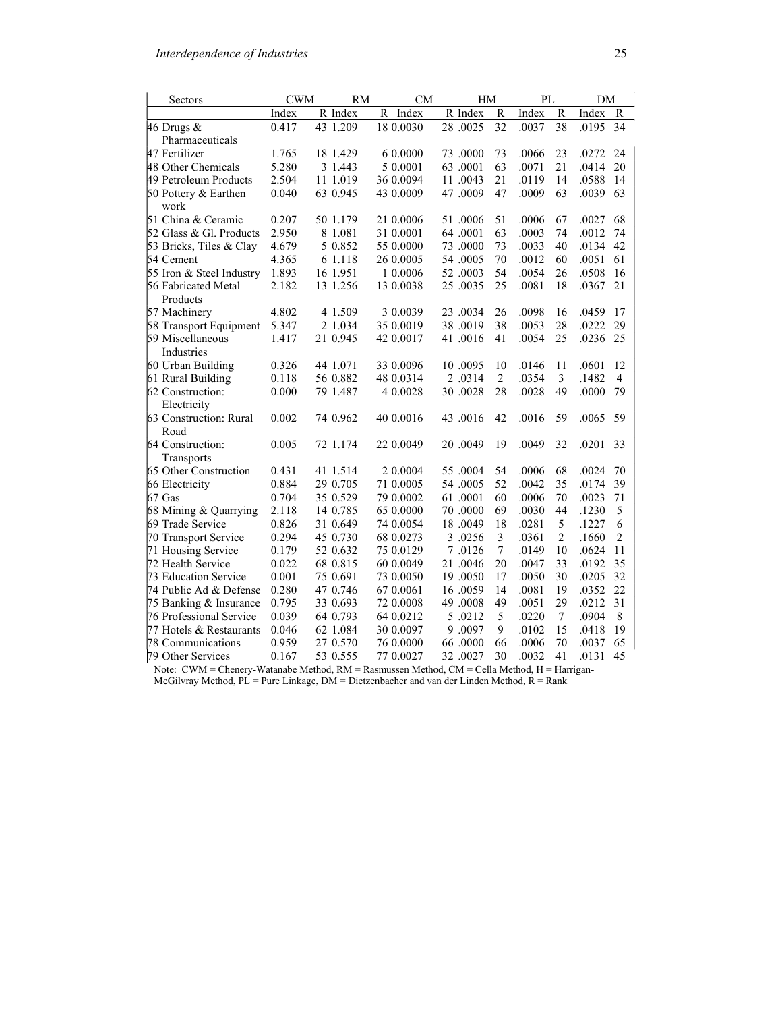| Sectors                         | CWM   | RM                    | CМ         | HМ       |                | PL    |                 | DM    |                |
|---------------------------------|-------|-----------------------|------------|----------|----------------|-------|-----------------|-------|----------------|
|                                 | Index | R Index               | R<br>Index | R Index  | R              | Index | R               | Index | R              |
| 46 Drugs $\&$                   | 0.417 | $\overline{43}$ 1.209 | 18 0.0030  | 28.0025  | 32             | .0037 | $\overline{38}$ | .0195 | 34             |
| Pharmaceuticals                 |       |                       |            |          |                |       |                 |       |                |
| 47 Fertilizer                   | 1.765 | 18 1.429              | 6 0.0000   | 73.0000  | 73             | .0066 | 23              | .0272 | 24             |
| 48 Other Chemicals              | 5.280 | 3 1.443               | 5 0.0001   | 63.0001  | 63             | .0071 | 21              | .0414 | 20             |
| 49 Petroleum Products           | 2.504 | 11 1.019              | 36 0.0094  | 11.0043  | 21             | .0119 | 14              | .0588 | 14             |
| 50 Pottery & Earthen<br>work    | 0.040 | 63 0.945              | 43 0.0009  | 47.0009  | 47             | .0009 | 63              | .0039 | 63             |
| 51 China & Ceramic              | 0.207 | 50 1.179              | 21 0.0006  | 51.0006  | 51             | .0006 | 67              | .0027 | 68             |
| 52 Glass & Gl. Products         | 2.950 | 8 1.081               | 31 0.0001  | 64.0001  | 63             | .0003 | 74              | .0012 | 74             |
| 53 Bricks, Tiles & Clay         | 4.679 | 5 0.852               | 55 0.0000  | 73.0000  | 73             | .0033 | 40              | .0134 | 42             |
| 54 Cement                       | 4.365 | 6 1.118               | 26 0.0005  | 54.0005  | 70             | .0012 | 60              | .0051 | 61             |
| 55 Iron & Steel Industry        | 1.893 | 16 1.951              | 1 0.0006   | 52.0003  | 54             | .0054 | 26              | .0508 | 16             |
| 56 Fabricated Metal<br>Products | 2.182 | 13 1.256              | 13 0.0038  | 25 .0035 | 25             | .0081 | 18              | .0367 | 21             |
| 57 Machinery                    | 4.802 | 4 1.509               | 3 0.0039   | 23.0034  | 26             | .0098 | 16              | .0459 | 17             |
| 58 Transport Equipment          | 5.347 | 2 1.034               | 35 0.0019  | 38.0019  | 38             | .0053 | 28              | .0222 | 29             |
| 59 Miscellaneous<br>Industries  | 1.417 | 21 0.945              | 42 0.0017  | 41.0016  | 41             | .0054 | 25              | .0236 | 25             |
| 60 Urban Building               | 0.326 | 44 1.071              | 33 0.0096  | 10.0095  | 10             | .0146 | 11              | .0601 | 12             |
| 61 Rural Building               | 0.118 | 56 0.882              | 48 0.0314  | 2 .0314  | $\overline{2}$ | .0354 | 3               | .1482 | $\overline{4}$ |
| 62 Construction:<br>Electricity | 0.000 | 79 1.487              | 4 0.0028   | 30.0028  | 28             | .0028 | 49              | .0000 | 79             |
| 63 Construction: Rural<br>Road  | 0.002 | 74 0.962              | 40 0.0016  | 43.0016  | 42             | .0016 | 59              | .0065 | 59             |
| 64 Construction:<br>Transports  | 0.005 | 72 1.174              | 22 0.0049  | 20 .0049 | 19             | .0049 | 32              | .0201 | 33             |
| 65 Other Construction           | 0.431 | 41 1.514              | 2 0.0004   | 55.0004  | 54             | .0006 | 68              | .0024 | 70             |
| 66 Electricity                  | 0.884 | 29 0.705              | 71 0.0005  | 54.0005  | 52             | .0042 | 35              | .0174 | 39             |
| 67 Gas                          | 0.704 | 35 0.529              | 79 0.0002  | 61.0001  | 60             | .0006 | 70              | .0023 | 71             |
| 68 Mining & Quarrying           | 2.118 | 14 0.785              | 65 0.0000  | 70.0000  | 69             | .0030 | 44              | .1230 | 5              |
| 69 Trade Service                | 0.826 | 31 0.649              | 74 0.0054  | 18.0049  | 18             | .0281 | 5               | .1227 | 6              |
| 70 Transport Service            | 0.294 | 45 0.730              | 68 0.0273  | 3.0256   | 3              | .0361 | $\overline{2}$  | .1660 | $\overline{2}$ |
| 71 Housing Service              | 0.179 | 52 0.632              | 75 0.0129  | 7.0126   | $\overline{7}$ | .0149 | 10              | .0624 | 11             |
| 72 Health Service               | 0.022 | 68 0.815              | 60 0.0049  | 21.0046  | 20             | .0047 | 33              | .0192 | 35             |
| 73 Education Service            | 0.001 | 75 0.691              | 73 0.0050  | 19.0050  | 17             | .0050 | 30              | .0205 | 32             |
| 74 Public Ad & Defense          | 0.280 | 47 0.746              | 67 0.0061  | 16.0059  | 14             | .0081 | 19              | .0352 | 22             |
| 75 Banking & Insurance          | 0.795 | 33 0.693              | 72 0.0008  | 49.0008  | 49             | .0051 | 29              | .0212 | 31             |
| 76 Professional Service         | 0.039 | 64 0.793              | 64 0.0212  | 5.0212   | 5              | .0220 | $\tau$          | .0904 | 8              |
| 77 Hotels & Restaurants         | 0.046 | 62 1.084              | 30 0.0097  | 9.0097   | 9              | .0102 | 15              | .0418 | 19             |
| 78 Communications               | 0.959 | 27 0.570              | 76 0.0000  | 66.0000  | 66             | .0006 | 70              | .0037 | 65             |
| 79 Other Services               | 0.167 | 53 0.555              | 77 0.0027  | 32.0027  | 30             | .0032 | 41              | .0131 | 45             |

Note: CWM = Chenery-Watanabe Method, RM = Rasmussen Method, CM = Cella Method, H = Harrigan-McGilvray Method,  $PL = Pure$  Linkage,  $DM = Dietzenbacher$  and van der Linden Method,  $R = Rank$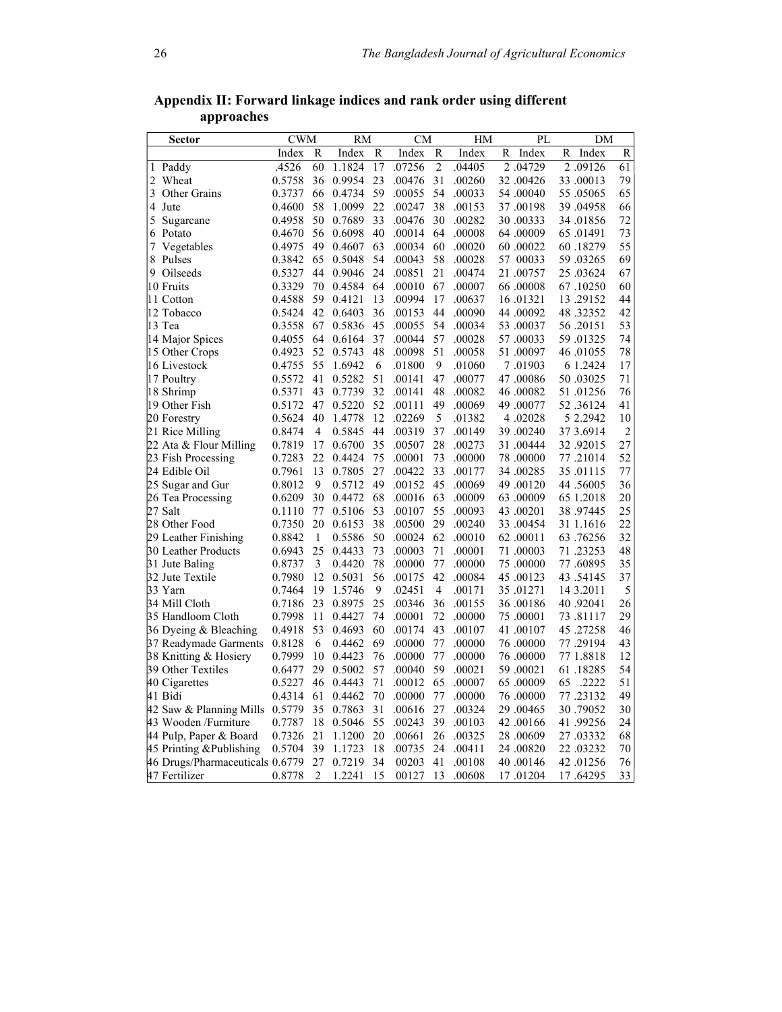| Sector                          | <b>CWM</b> |                | RM     |    | <b>CM</b> |                | HM     |   | PL        |    | DM        |                |
|---------------------------------|------------|----------------|--------|----|-----------|----------------|--------|---|-----------|----|-----------|----------------|
|                                 | Index      | R              | Index  | R  | Index     | R              | Index  | R | Index     | R  | Index     | R              |
| 1 Paddy                         | .4526      | 60             | 1.1824 | 17 | .07256    | $\overline{c}$ | .04405 |   | 2.04729   |    | 2.09126   | 61             |
| 2<br>Wheat                      | 0.5758     | 36             | 0.9954 | 23 | .00476    | 31             | .00260 |   | 32.00426  |    | 33.00013  | 79             |
| 3<br><b>Other Grains</b>        | 0.3737     | 66             | 0.4734 | 59 | .00055    | 54             | .00033 |   | 54 .00040 |    | 55.05065  | 65             |
| 4<br>Jute                       | 0.4600     | 58             | 1.0099 | 22 | .00247    | 38             | .00153 |   | 37 .00198 |    | 39.04958  | 66             |
| 5<br>Sugarcane                  | 0.4958     | 50             | 0.7689 | 33 | .00476    | 30             | .00282 |   | 30 .00333 |    | 34.01856  | 72             |
| 6 Potato                        | 0.4670     | 56             | 0.6098 | 40 | .00014    | 64             | .00008 |   | 64.00009  |    | 65 .01491 | 73             |
| 7<br>Vegetables                 | 0.4975     | 49             | 0.4607 | 63 | .00034    | 60             | .00020 |   | 60 .00022 |    | 60.18279  | 55             |
| 8 Pulses                        | 0.3842     | 65             | 0.5048 | 54 | .00043    | 58             | .00028 |   | 57 00033  |    | 59.03265  | 69             |
| 9 Oilseeds                      | 0.5327     | 44             | 0.9046 | 24 | .00851    | 21             | .00474 |   | 21.00757  |    | 25.03624  | 67             |
| 10 Fruits                       | 0.3329     | 70             | 0.4584 | 64 | .00010    | 67             | .00007 |   | 66 .00008 |    | 67.10250  | 60             |
| 11 Cotton                       | 0.4588     | 59             | 0.4121 | 13 | .00994    | 17             | .00637 |   | 16.01321  |    | 13.29152  | 44             |
| 12 Tobacco                      | 0.5424     | 42             | 0.6403 | 36 | .00153    | 44             | .00090 |   | 44 .00092 |    | 48.32352  | 42             |
| 13 Tea                          | 0.3558     | 67             | 0.5836 | 45 | .00055    | 54             | .00034 |   | 53 .00037 |    | 56.20151  | 53             |
| 14 Major Spices                 | 0.4055     | 64             | 0.6164 | 37 | .00044    | 57             | .00028 |   | 57.00033  |    | 59.01325  | 74             |
| 15 Other Crops                  | 0.4923     | 52             | 0.5743 | 48 | .00098    | 51             | .00058 |   | 51.00097  |    | 46.01055  | 78             |
| 16 Livestock                    | 0.4755     | 55             | 1.6942 | 6  | .01800    | 9              | .01060 |   | 7.01903   |    | 6 1.2424  | 17             |
| 17 Poultry                      | 0.5572     | 41             | 0.5282 | 51 | .00141    | 47             | .00077 |   | 47 .00086 |    | 50.03025  | 71             |
| 18 Shrimp                       | 0.5371     | 43             | 0.7739 | 32 | .00141    | 48             | .00082 |   | 46.00082  |    | 51.01256  | 76             |
| 19 Other Fish                   | 0.5172     | 47             | 0.5220 | 52 | .00111    | 49             | .00069 |   | 49.00077  |    | 52.36124  | 41             |
| 20 Forestry                     | 0.5624     | 40             | 1.4778 | 12 | .02269    | 5              | .01382 |   | 4.02028   |    | 5 2.2942  | 10             |
| 21 Rice Milling                 | 0.8474     | 4              | 0.5845 | 44 | .00319    | 37             | .00149 |   | 39.00240  |    | 37 3.6914 | $\overline{c}$ |
| 22 Ata & Flour Milling          | 0.7819     | 17             | 0.6700 | 35 | .00507    | 28             | .00273 |   | 31.00444  |    | 32.92015  | 27             |
| 23 Fish Processing              | 0.7283     | 22             | 0.4424 | 75 | .00001    | 73             | .00000 |   | 78 .00000 |    | 77.21014  | 52             |
| 24 Edible Oil                   | 0.7961     | 13             | 0.7805 | 27 | .00422    | 33             | .00177 |   | 34 .00285 |    | 35.01115  | 77             |
| 25 Sugar and Gur                | 0.8012     | 9              | 0.5712 | 49 | .00152    | 45             | .00069 |   | 49.00120  |    | 44.56005  | 36             |
| 26 Tea Processing               | 0.6209     | 30             | 0.4472 | 68 | .00016    | 63             | .00009 |   | 63.00009  |    | 65 1.2018 | 20             |
| 27 Salt                         | 0.1110     | 77             | 0.5106 | 53 | .00107    | 55             | .00093 |   | 43.00201  |    | 38.97445  | 25             |
| 28 Other Food                   | 0.7350     | 20             | 0.6153 | 38 | .00500    | 29             | .00240 |   | 33.00454  |    | 31 1.1616 | 22             |
| 29 Leather Finishing            | 0.8842     | 1              | 0.5586 | 50 | .00024    | 62             | .00010 |   | 62.00011  |    | 63.76256  | 32             |
| 30 Leather Products             | 0.6943     | 25             | 0.4433 | 73 | .00003    | 71             | .00001 |   | 71.00003  |    | 71.23253  | 48             |
| 31 Jute Baling                  | 0.8737     | 3              | 0.4420 | 78 | .00000    | 77             | .00000 |   | 75 .00000 |    | 77.60895  | 35             |
| 32 Jute Textile                 | 0.7980     | 12             | 0.5031 | 56 | .00175    | 42             | .00084 |   | 45.00123  |    | 43 .54145 | 37             |
| 33 Yarn                         | 0.7464     | 19             | 1.5746 | 9  | .02451    | $\overline{4}$ | .00171 |   | 35.01271  |    | 14 3.2011 | 5              |
| 34 Mill Cloth                   | 0.7186     | 23             | 0.8975 | 25 | .00346    | 36             | .00155 |   | 36 .00186 |    | 40 .92041 | 26             |
| 35 Handloom Cloth               | 0.7998     | 11             | 0.4427 | 74 | .00001    | 72             | .00000 |   | 75 .00001 |    | 73.81117  | 29             |
| 36 Dyeing & Bleaching           | 0.4918     | 53             | 0.4693 | 60 | .00174    | 43             | .00107 |   | 41 .00107 |    | 45 .27258 | 46             |
| 37 Readymade Garments           | 0.8128     | 6              | 0.4462 | 69 | .00000    | 77             | .00000 |   | 76 .00000 |    | 77.29194  | 43             |
| 38 Knitting & Hosiery           | 0.7999     | 10             | 0.4423 | 76 | .00000    | 77             | .00000 |   | 76 .00000 |    | 77 1.8818 | 12             |
| 39 Other Textiles               | 0.6477     | 29             | 0.5002 | 57 | .00040    | 59             | .00021 |   | 59 .00021 |    | 61.18285  | 54             |
| 40 Cigarettes                   | 0.5227     | 46             | 0.4443 | 71 | .00012    | 65             | .00007 |   | 65 .00009 | 65 | .2222     | 51             |
| 41 Bidi                         | 0.4314     | 61             | 0.4462 | 70 | .00000    | 77             | .00000 |   | 76 .00000 |    | 77.23132  | 49             |
| 42 Saw & Planning Mills         | 0.5779     | 35             | 0.7863 | 31 | .00616    | 27             | .00324 |   | 29 .00465 |    | 30.79052  | 30             |
| 43 Wooden /Furniture            | 0.7787     | 18             | 0.5046 | 55 | .00243    | 39             | .00103 |   | 42.00166  |    | 41 .99256 | 24             |
| 44 Pulp, Paper & Board          | 0.7326     | 21             | 1.1200 | 20 | .00661    | 26             | .00325 |   | 28.00609  |    | 27 .03332 | 68             |
| 45 Printing &Publishing         | 0.5704     | 39             | 1.1723 | 18 | .00735    | 24             | .00411 |   | 24.00820  |    | 22.03232  | 70             |
| 46 Drugs/Pharmaceuticals 0.6779 |            | 27             | 0.7219 | 34 | 00203     | 41             | .00108 |   | 40.00146  |    | 42 .01256 | 76             |
| 47 Fertilizer                   | 0.8778     | $\overline{2}$ | 1.2241 | 15 | 00127     | 13             | .00608 |   | 17.01204  |    | 17.64295  | 33             |

Appendix II: Forward linkage indices and rank order using different approaches